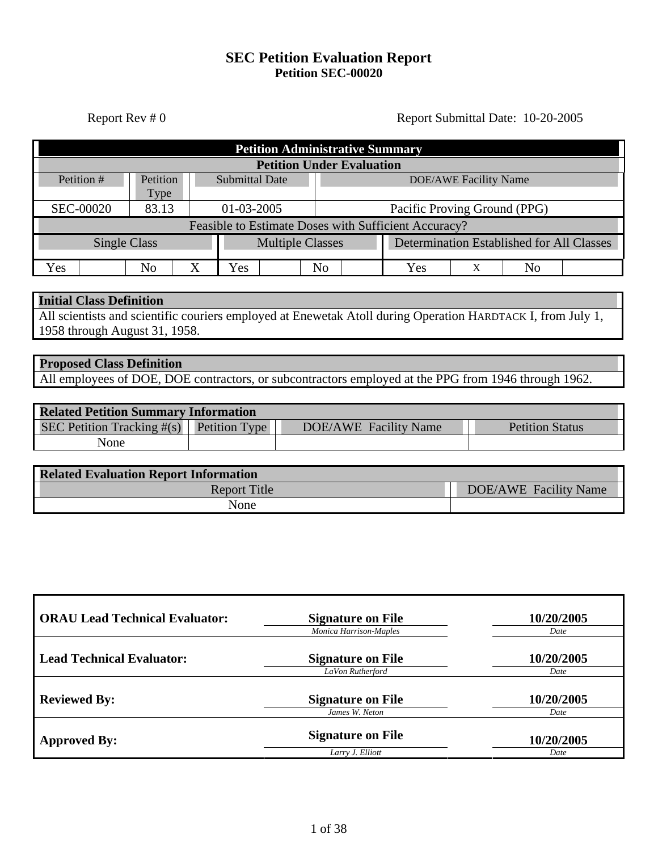# **SEC Petition Evaluation Report Petition SEC-00020**

Report Rev # 0 Report Submittal Date: 10-20-2005

| <b>Petition Administrative Summary</b>               |          |   |                                            |                                           |    |  |     |                              |    |  |
|------------------------------------------------------|----------|---|--------------------------------------------|-------------------------------------------|----|--|-----|------------------------------|----|--|
|                                                      |          |   |                                            | <b>Petition Under Evaluation</b>          |    |  |     |                              |    |  |
| Petition #                                           | Petition |   | <b>Submittal Date</b>                      |                                           |    |  |     | <b>DOE/AWE Facility Name</b> |    |  |
|                                                      | Type     |   |                                            |                                           |    |  |     |                              |    |  |
| <b>SEC-00020</b>                                     | 83.13    |   | 01-03-2005<br>Pacific Proving Ground (PPG) |                                           |    |  |     |                              |    |  |
| Feasible to Estimate Doses with Sufficient Accuracy? |          |   |                                            |                                           |    |  |     |                              |    |  |
| <b>Multiple Classes</b><br><b>Single Class</b>       |          |   |                                            | Determination Established for All Classes |    |  |     |                              |    |  |
| Yes                                                  | No       | Х | Yes                                        |                                           | No |  | Yes | Х                            | Nο |  |

#### **Initial Class Definition**

All scientists and scientific couriers employed at Enewetak Atoll during Operation HARDTACK I, from July 1, 1958 through August 31, 1958.

# **Proposed Class Definition**

All employees of DOE, DOE contractors, or subcontractors employed at the PPG from 1946 through 1962.

| <b>Related Petition Summary Information</b> |  |                       |                        |  |  |
|---------------------------------------------|--|-----------------------|------------------------|--|--|
| SEC Petition Tracking $\#(s)$ Petition Type |  | DOE/AWE Facility Name | <b>Petition Status</b> |  |  |
| None                                        |  |                       |                        |  |  |

| <b>Related Evaluation Report Information</b> |                       |  |  |  |
|----------------------------------------------|-----------------------|--|--|--|
| <b>Report Title</b>                          | DOE/AWE Facility Name |  |  |  |
| None                                         |                       |  |  |  |

| <b>ORAU Lead Technical Evaluator:</b> | <b>Signature on File</b><br><b>Monica Harrison-Maples</b> | 10/20/2005<br>Date |
|---------------------------------------|-----------------------------------------------------------|--------------------|
| <b>Lead Technical Evaluator:</b>      | <b>Signature on File</b><br>LaVon Rutherford              | 10/20/2005<br>Date |
| <b>Reviewed By:</b>                   | <b>Signature on File</b><br>James W. Neton                | 10/20/2005<br>Date |
| <b>Approved By:</b>                   | <b>Signature on File</b><br>Larry J. Elliott              | 10/20/2005<br>Date |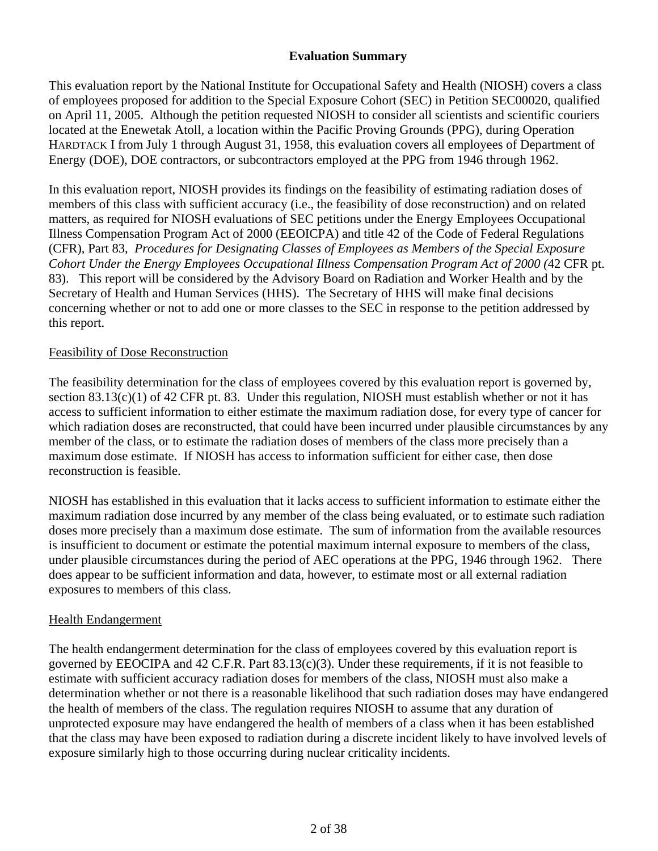# **Evaluation Summary**

This evaluation report by the National Institute for Occupational Safety and Health (NIOSH) covers a class of employees proposed for addition to the Special Exposure Cohort (SEC) in Petition SEC00020, qualified on April 11, 2005. Although the petition requested NIOSH to consider all scientists and scientific couriers located at the Enewetak Atoll, a location within the Pacific Proving Grounds (PPG), during Operation HARDTACK I from July 1 through August 31, 1958, this evaluation covers all employees of Department of Energy (DOE), DOE contractors, or subcontractors employed at the PPG from 1946 through 1962.

In this evaluation report, NIOSH provides its findings on the feasibility of estimating radiation doses of members of this class with sufficient accuracy (i.e., the feasibility of dose reconstruction) and on related matters, as required for NIOSH evaluations of SEC petitions under the Energy Employees Occupational Illness Compensation Program Act of 2000 (EEOICPA) and title 42 of the Code of Federal Regulations (CFR), Part 83, *Procedures for Designating Classes of Employees as Members of the Special Exposure Cohort Under the Energy Employees Occupational Illness Compensation Program Act of 2000 (*42 CFR pt. 83). This report will be considered by the Advisory Board on Radiation and Worker Health and by the Secretary of Health and Human Services (HHS). The Secretary of HHS will make final decisions concerning whether or not to add one or more classes to the SEC in response to the petition addressed by this report.

#### Feasibility of Dose Reconstruction

The feasibility determination for the class of employees covered by this evaluation report is governed by*,*  section 83.13(c)(1) of 42 CFR pt. 83. Under this regulation, NIOSH must establish whether or not it has access to sufficient information to either estimate the maximum radiation dose, for every type of cancer for which radiation doses are reconstructed, that could have been incurred under plausible circumstances by any member of the class, or to estimate the radiation doses of members of the class more precisely than a maximum dose estimate. If NIOSH has access to information sufficient for either case, then dose reconstruction is feasible.

NIOSH has established in this evaluation that it lacks access to sufficient information to estimate either the maximum radiation dose incurred by any member of the class being evaluated, or to estimate such radiation doses more precisely than a maximum dose estimate. The sum of information from the available resources is insufficient to document or estimate the potential maximum internal exposure to members of the class, under plausible circumstances during the period of AEC operations at the PPG, 1946 through 1962. There does appear to be sufficient information and data, however, to estimate most or all external radiation exposures to members of this class.

#### Health Endangerment

The health endangerment determination for the class of employees covered by this evaluation report is governed by EEOCIPA and 42 C.F.R. Part 83.13(c)(3). Under these requirements, if it is not feasible to estimate with sufficient accuracy radiation doses for members of the class, NIOSH must also make a determination whether or not there is a reasonable likelihood that such radiation doses may have endangered the health of members of the class. The regulation requires NIOSH to assume that any duration of unprotected exposure may have endangered the health of members of a class when it has been established that the class may have been exposed to radiation during a discrete incident likely to have involved levels of exposure similarly high to those occurring during nuclear criticality incidents.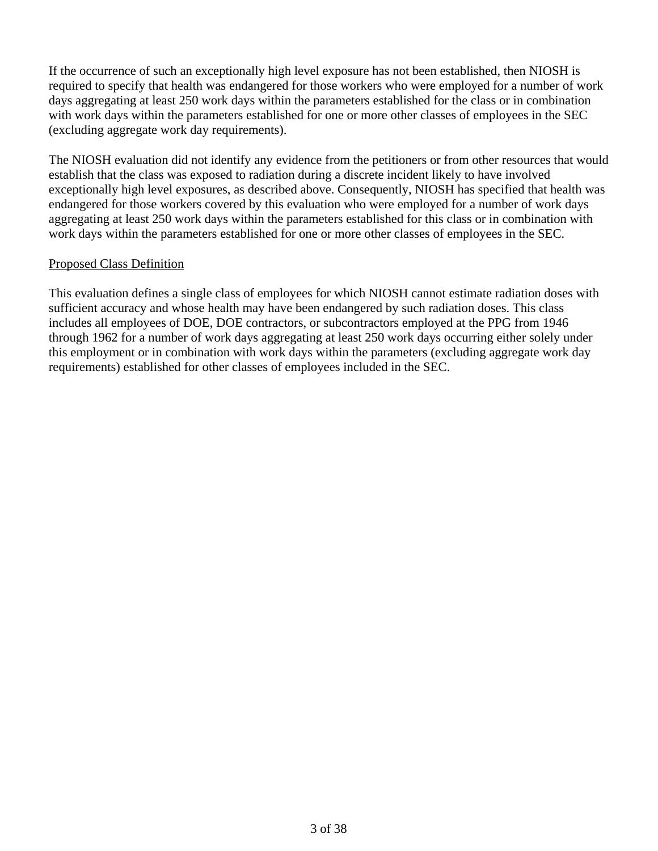If the occurrence of such an exceptionally high level exposure has not been established, then NIOSH is required to specify that health was endangered for those workers who were employed for a number of work days aggregating at least 250 work days within the parameters established for the class or in combination with work days within the parameters established for one or more other classes of employees in the SEC (excluding aggregate work day requirements).

The NIOSH evaluation did not identify any evidence from the petitioners or from other resources that would establish that the class was exposed to radiation during a discrete incident likely to have involved exceptionally high level exposures, as described above. Consequently, NIOSH has specified that health was endangered for those workers covered by this evaluation who were employed for a number of work days aggregating at least 250 work days within the parameters established for this class or in combination with work days within the parameters established for one or more other classes of employees in the SEC.

# Proposed Class Definition

This evaluation defines a single class of employees for which NIOSH cannot estimate radiation doses with sufficient accuracy and whose health may have been endangered by such radiation doses. This class includes all employees of DOE, DOE contractors, or subcontractors employed at the PPG from 1946 through 1962 for a number of work days aggregating at least 250 work days occurring either solely under this employment or in combination with work days within the parameters (excluding aggregate work day requirements) established for other classes of employees included in the SEC.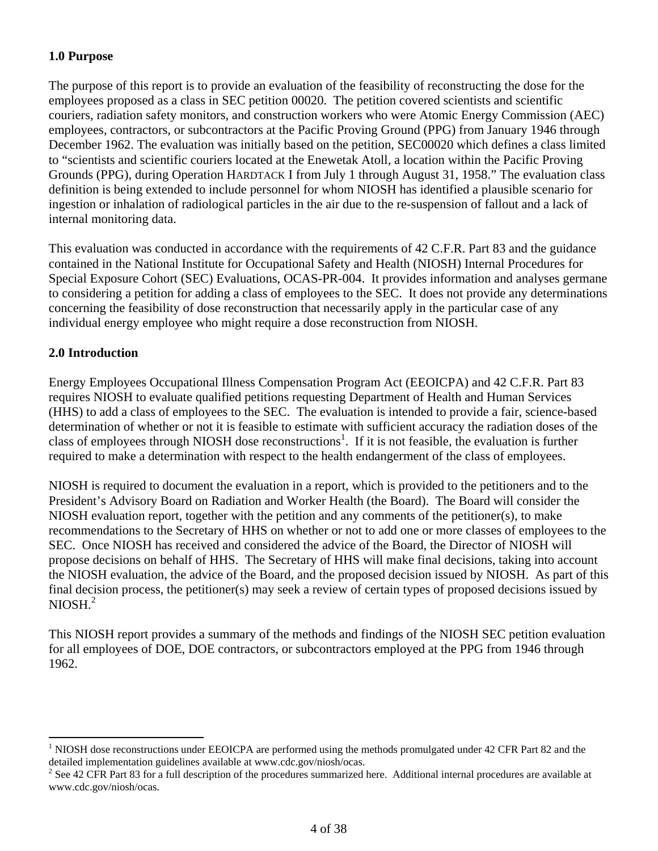# **1.0 Purpose**

The purpose of this report is to provide an evaluation of the feasibility of reconstructing the dose for the employees proposed as a class in SEC petition 00020. The petition covered scientists and scientific couriers, radiation safety monitors, and construction workers who were Atomic Energy Commission (AEC) employees, contractors, or subcontractors at the Pacific Proving Ground (PPG) from January 1946 through December 1962. The evaluation was initially based on the petition, SEC00020 which defines a class limited to "scientists and scientific couriers located at the Enewetak Atoll, a location within the Pacific Proving Grounds (PPG), during Operation HARDTACK I from July 1 through August 31, 1958." The evaluation class definition is being extended to include personnel for whom NIOSH has identified a plausible scenario for ingestion or inhalation of radiological particles in the air due to the re-suspension of fallout and a lack of internal monitoring data.

This evaluation was conducted in accordance with the requirements of 42 C.F.R. Part 83 and the guidance contained in the National Institute for Occupational Safety and Health (NIOSH) Internal Procedures for Special Exposure Cohort (SEC) Evaluations, OCAS-PR-004. It provides information and analyses germane to considering a petition for adding a class of employees to the SEC. It does not provide any determinations concerning the feasibility of dose reconstruction that necessarily apply in the particular case of any individual energy employee who might require a dose reconstruction from NIOSH.

# **2.0 Introduction**

<u>.</u>

Energy Employees Occupational Illness Compensation Program Act (EEOICPA) and 42 C.F.R. Part 83 requires NIOSH to evaluate qualified petitions requesting Department of Health and Human Services (HHS) to add a class of employees to the SEC. The evaluation is intended to provide a fair, science-based determination of whether or not it is feasible to estimate with sufficient accuracy the radiation doses of the class of employees through NIOSH dose reconstructions<sup>1</sup>. If it is not feasible, the evaluation is further required to make a determination with respect to the health endangerment of the class of employees.

 $NIOSH.<sup>2</sup>$ NIOSH is required to document the evaluation in a report, which is provided to the petitioners and to the President's Advisory Board on Radiation and Worker Health (the Board). The Board will consider the NIOSH evaluation report, together with the petition and any comments of the petitioner(s), to make recommendations to the Secretary of HHS on whether or not to add one or more classes of employees to the SEC. Once NIOSH has received and considered the advice of the Board, the Director of NIOSH will propose decisions on behalf of HHS. The Secretary of HHS will make final decisions, taking into account the NIOSH evaluation, the advice of the Board, and the proposed decision issued by NIOSH. As part of this final decision process, the petitioner(s) may seek a review of certain types of proposed decisions issued by

This NIOSH report provides a summary of the methods and findings of the NIOSH SEC petition evaluation for all employees of DOE, DOE contractors, or subcontractors employed at the PPG from 1946 through 1962.

<sup>&</sup>lt;sup>1</sup> NIOSH dose reconstructions under EEOICPA are performed using the methods promulgated under 42 CFR Part 82 and the detailed implementation guidelines available at www.cdc.gov/niosh/ocas.

 $2^2$  See 42 CFR Part 83 for a full description of the procedures summarized here. Additional internal procedures are available at www.cdc.gov/niosh/ocas.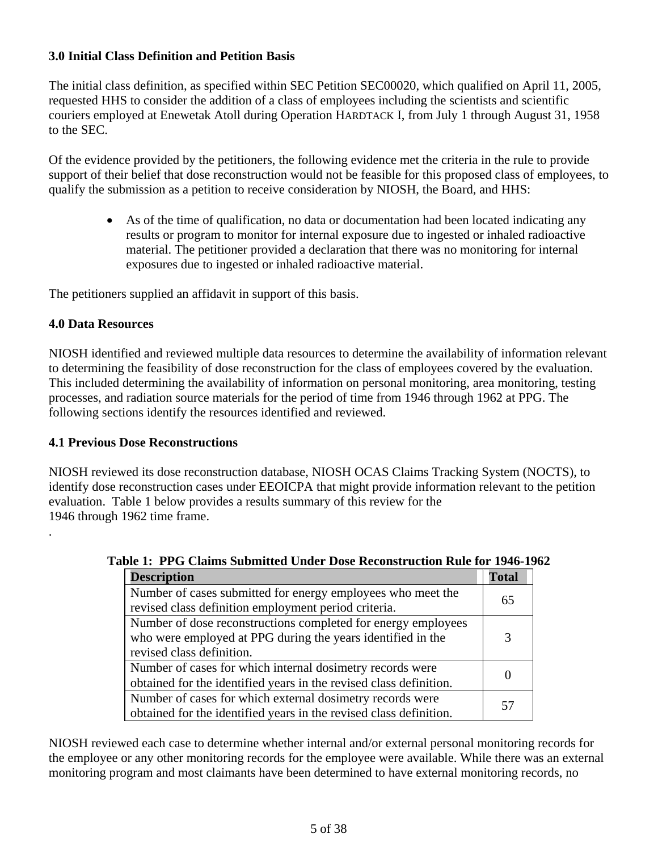# **3.0 Initial Class Definition and Petition Basis**

The initial class definition, as specified within SEC Petition SEC00020, which qualified on April 11, 2005, requested HHS to consider the addition of a class of employees including the scientists and scientific couriers employed at Enewetak Atoll during Operation HARDTACK I, from July 1 through August 31, 1958 to the SEC.

Of the evidence provided by the petitioners, the following evidence met the criteria in the rule to provide support of their belief that dose reconstruction would not be feasible for this proposed class of employees, to qualify the submission as a petition to receive consideration by NIOSH, the Board, and HHS:

> • As of the time of qualification, no data or documentation had been located indicating any results or program to monitor for internal exposure due to ingested or inhaled radioactive material. The petitioner provided a declaration that there was no monitoring for internal exposures due to ingested or inhaled radioactive material.

The petitioners supplied an affidavit in support of this basis.

# **4.0 Data Resources**

.

NIOSH identified and reviewed multiple data resources to determine the availability of information relevant to determining the feasibility of dose reconstruction for the class of employees covered by the evaluation. This included determining the availability of information on personal monitoring, area monitoring, testing processes, and radiation source materials for the period of time from 1946 through 1962 at PPG. The following sections identify the resources identified and reviewed.

# **4.1 Previous Dose Reconstructions**

NIOSH reviewed its dose reconstruction database, NIOSH OCAS Claims Tracking System (NOCTS), to identify dose reconstruction cases under EEOICPA that might provide information relevant to the petition evaluation. Table 1 below provides a results summary of this review for the 1946 through 1962 time frame.

| <b>Description</b>                                                                                                                                        | <b>Total</b> |
|-----------------------------------------------------------------------------------------------------------------------------------------------------------|--------------|
| Number of cases submitted for energy employees who meet the<br>revised class definition employment period criteria.                                       | 65           |
| Number of dose reconstructions completed for energy employees<br>who were employed at PPG during the years identified in the<br>revised class definition. | 3            |
| Number of cases for which internal dosimetry records were<br>obtained for the identified years in the revised class definition.                           |              |
| Number of cases for which external dosimetry records were<br>obtained for the identified years in the revised class definition.                           | 57           |

# **Table 1: PPG Claims Submitted Under Dose Reconstruction Rule for 1946-1962**

NIOSH reviewed each case to determine whether internal and/or external personal monitoring records for the employee or any other monitoring records for the employee were available. While there was an external monitoring program and most claimants have been determined to have external monitoring records, no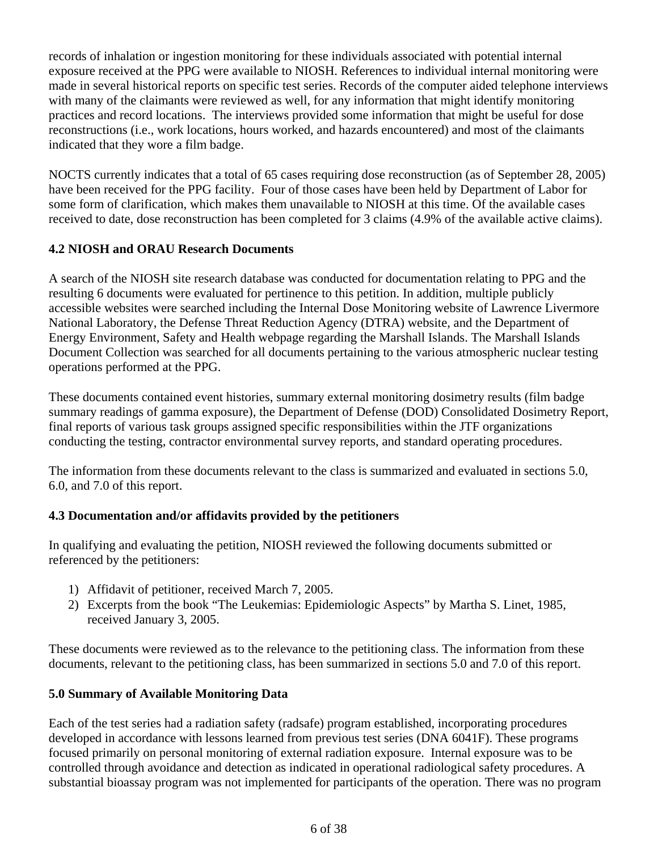records of inhalation or ingestion monitoring for these individuals associated with potential internal exposure received at the PPG were available to NIOSH. References to individual internal monitoring were made in several historical reports on specific test series. Records of the computer aided telephone interviews with many of the claimants were reviewed as well, for any information that might identify monitoring practices and record locations. The interviews provided some information that might be useful for dose reconstructions (i.e., work locations, hours worked, and hazards encountered) and most of the claimants indicated that they wore a film badge.

NOCTS currently indicates that a total of 65 cases requiring dose reconstruction (as of September 28, 2005) have been received for the PPG facility. Four of those cases have been held by Department of Labor for some form of clarification, which makes them unavailable to NIOSH at this time. Of the available cases received to date, dose reconstruction has been completed for 3 claims (4.9% of the available active claims).

# **4.2 NIOSH and ORAU Research Documents**

A search of the NIOSH site research database was conducted for documentation relating to PPG and the resulting 6 documents were evaluated for pertinence to this petition. In addition, multiple publicly accessible websites were searched including the Internal Dose Monitoring website of Lawrence Livermore National Laboratory, the Defense Threat Reduction Agency (DTRA) website, and the Department of Energy Environment, Safety and Health webpage regarding the Marshall Islands. The Marshall Islands Document Collection was searched for all documents pertaining to the various atmospheric nuclear testing operations performed at the PPG.

These documents contained event histories, summary external monitoring dosimetry results (film badge summary readings of gamma exposure), the Department of Defense (DOD) Consolidated Dosimetry Report, final reports of various task groups assigned specific responsibilities within the JTF organizations conducting the testing, contractor environmental survey reports, and standard operating procedures.

The information from these documents relevant to the class is summarized and evaluated in sections 5.0, 6.0, and 7.0 of this report.

# **4.3 Documentation and/or affidavits provided by the petitioners**

In qualifying and evaluating the petition, NIOSH reviewed the following documents submitted or referenced by the petitioners:

- 1) Affidavit of petitioner, received March 7, 2005.
- 2) Excerpts from the book "The Leukemias: Epidemiologic Aspects" by Martha S. Linet, 1985, received January 3, 2005.

These documents were reviewed as to the relevance to the petitioning class. The information from these documents, relevant to the petitioning class, has been summarized in sections 5.0 and 7.0 of this report.

# **5.0 Summary of Available Monitoring Data**

Each of the test series had a radiation safety (radsafe) program established, incorporating procedures developed in accordance with lessons learned from previous test series (DNA 6041F). These programs focused primarily on personal monitoring of external radiation exposure. Internal exposure was to be controlled through avoidance and detection as indicated in operational radiological safety procedures. A substantial bioassay program was not implemented for participants of the operation. There was no program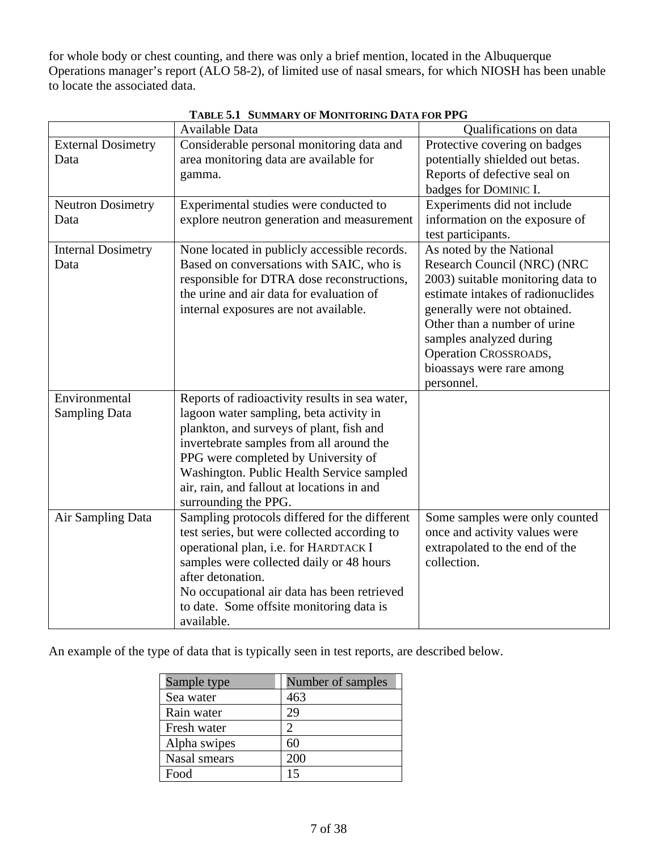for whole body or chest counting, and there was only a brief mention, located in the Albuquerque Operations manager's report (ALO 58-2), of limited use of nasal smears, for which NIOSH has been unable to locate the associated data.

|                                   | <b>Available Data</b>                            | Qualifications on data                                          |
|-----------------------------------|--------------------------------------------------|-----------------------------------------------------------------|
| <b>External Dosimetry</b><br>Data | Considerable personal monitoring data and        | Protective covering on badges                                   |
|                                   | area monitoring data are available for<br>gamma. | potentially shielded out betas.<br>Reports of defective seal on |
|                                   |                                                  | badges for DOMINIC I.                                           |
| <b>Neutron Dosimetry</b>          | Experimental studies were conducted to           | Experiments did not include                                     |
| Data                              | explore neutron generation and measurement       | information on the exposure of                                  |
|                                   |                                                  | test participants.                                              |
| <b>Internal Dosimetry</b>         | None located in publicly accessible records.     | As noted by the National                                        |
| Data                              | Based on conversations with SAIC, who is         | Research Council (NRC) (NRC                                     |
|                                   | responsible for DTRA dose reconstructions,       | 2003) suitable monitoring data to                               |
|                                   | the urine and air data for evaluation of         | estimate intakes of radionuclides                               |
|                                   | internal exposures are not available.            | generally were not obtained.                                    |
|                                   |                                                  | Other than a number of urine                                    |
|                                   |                                                  | samples analyzed during                                         |
|                                   |                                                  | <b>Operation CROSSROADS,</b>                                    |
|                                   |                                                  | bioassays were rare among                                       |
|                                   |                                                  | personnel.                                                      |
| Environmental                     | Reports of radioactivity results in sea water,   |                                                                 |
| <b>Sampling Data</b>              | lagoon water sampling, beta activity in          |                                                                 |
|                                   | plankton, and surveys of plant, fish and         |                                                                 |
|                                   | invertebrate samples from all around the         |                                                                 |
|                                   | PPG were completed by University of              |                                                                 |
|                                   | Washington. Public Health Service sampled        |                                                                 |
|                                   | air, rain, and fallout at locations in and       |                                                                 |
|                                   | surrounding the PPG.                             |                                                                 |
| Air Sampling Data                 | Sampling protocols differed for the different    | Some samples were only counted                                  |
|                                   | test series, but were collected according to     | once and activity values were                                   |
|                                   | operational plan, i.e. for HARDTACK I            | extrapolated to the end of the                                  |
|                                   | samples were collected daily or 48 hours         | collection.                                                     |
|                                   | after detonation.                                |                                                                 |
|                                   | No occupational air data has been retrieved      |                                                                 |
|                                   | to date. Some offsite monitoring data is         |                                                                 |
|                                   | available.                                       |                                                                 |

|  | TABLE 5.1 SUMMARY OF MONITORING DATA FOR PPG |
|--|----------------------------------------------|
|--|----------------------------------------------|

An example of the type of data that is typically seen in test reports, are described below.

| Sample type  | Number of samples |
|--------------|-------------------|
| Sea water    | 463               |
| Rain water   | 29                |
| Fresh water  |                   |
| Alpha swipes | 60                |
| Nasal smears | 200               |
| Food         |                   |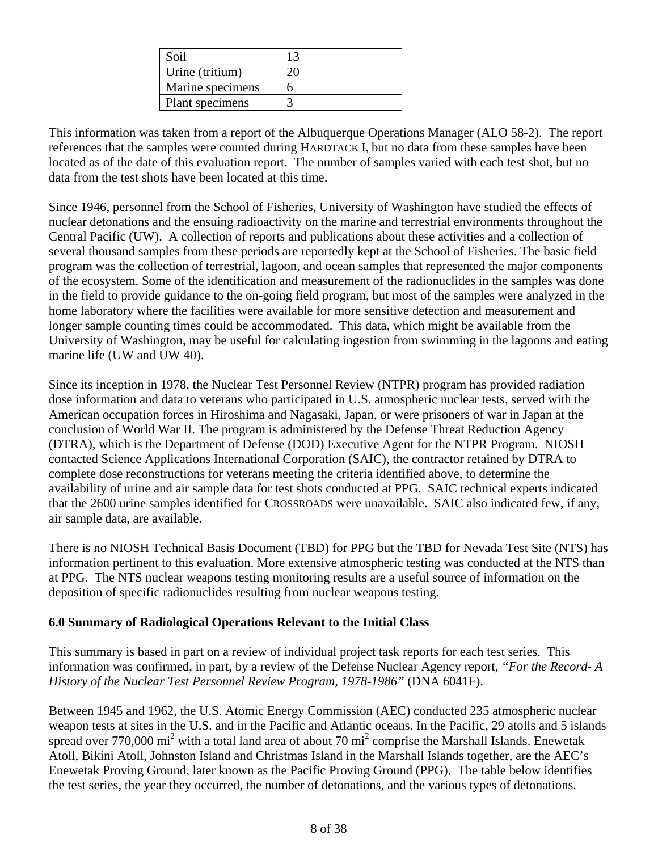| Soil             |  |
|------------------|--|
| Urine (tritium)  |  |
| Marine specimens |  |
| Plant specimens  |  |

This information was taken from a report of the Albuquerque Operations Manager (ALO 58-2). The report references that the samples were counted during HARDTACK I, but no data from these samples have been located as of the date of this evaluation report. The number of samples varied with each test shot, but no data from the test shots have been located at this time.

Since 1946, personnel from the School of Fisheries, University of Washington have studied the effects of nuclear detonations and the ensuing radioactivity on the marine and terrestrial environments throughout the Central Pacific (UW). A collection of reports and publications about these activities and a collection of several thousand samples from these periods are reportedly kept at the School of Fisheries. The basic field program was the collection of terrestrial, lagoon, and ocean samples that represented the major components of the ecosystem. Some of the identification and measurement of the radionuclides in the samples was done in the field to provide guidance to the on-going field program, but most of the samples were analyzed in the home laboratory where the facilities were available for more sensitive detection and measurement and longer sample counting times could be accommodated. This data, which might be available from the University of Washington, may be useful for calculating ingestion from swimming in the lagoons and eating marine life (UW and UW 40).

Since its inception in 1978, the Nuclear Test Personnel Review (NTPR) program has provided radiation dose information and data to veterans who participated in U.S. atmospheric nuclear tests, served with the American occupation forces in Hiroshima and Nagasaki, Japan, or were prisoners of war in Japan at the conclusion of World War II. The program is administered by the Defense Threat Reduction Agency (DTRA), which is the Department of Defense (DOD) Executive Agent for the NTPR Program. NIOSH contacted Science Applications International Corporation (SAIC), the contractor retained by DTRA to complete dose reconstructions for veterans meeting the criteria identified above, to determine the availability of urine and air sample data for test shots conducted at PPG. SAIC technical experts indicated that the 2600 urine samples identified for CROSSROADS were unavailable. SAIC also indicated few, if any, air sample data, are available.

There is no NIOSH Technical Basis Document (TBD) for PPG but the TBD for Nevada Test Site (NTS) has information pertinent to this evaluation. More extensive atmospheric testing was conducted at the NTS than at PPG. The NTS nuclear weapons testing monitoring results are a useful source of information on the deposition of specific radionuclides resulting from nuclear weapons testing.

# **6.0 Summary of Radiological Operations Relevant to the Initial Class**

This summary is based in part on a review of individual project task reports for each test series. This information was confirmed, in part, by a review of the Defense Nuclear Agency report, *"For the Record- A History of the Nuclear Test Personnel Review Program, 1978-1986"* (DNA 6041F).

Between 1945 and 1962, the U.S. Atomic Energy Commission (AEC) conducted 235 atmospheric nuclear weapon tests at sites in the U.S. and in the Pacific and Atlantic oceans. In the Pacific, 29 atolls and 5 islands spread over 770,000 mi<sup>2</sup> with a total land area of about 70 mi<sup>2</sup> comprise the Marshall Islands. Enewetak Atoll, Bikini Atoll, Johnston Island and Christmas Island in the Marshall Islands together, are the AEC's Enewetak Proving Ground, later known as the Pacific Proving Ground (PPG). The table below identifies the test series, the year they occurred, the number of detonations, and the various types of detonations.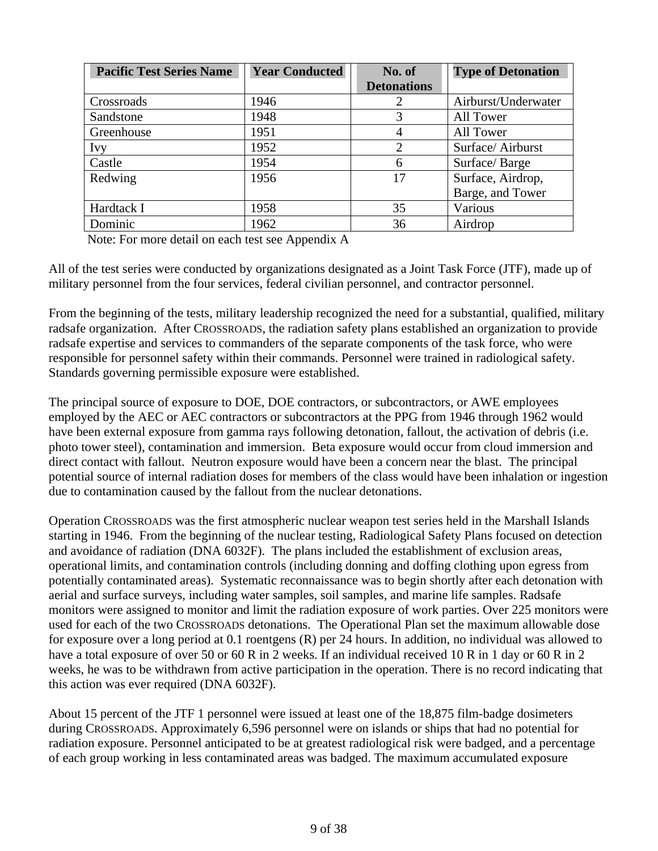| <b>Pacific Test Series Name</b> | <b>Year Conducted</b> | No. of             | <b>Type of Detonation</b> |
|---------------------------------|-----------------------|--------------------|---------------------------|
|                                 |                       | <b>Detonations</b> |                           |
| Crossroads                      | 1946                  | 2                  | Airburst/Underwater       |
| Sandstone                       | 1948                  | 3                  | All Tower                 |
| Greenhouse                      | 1951                  | 4                  | All Tower                 |
| Ivy                             | 1952                  | $\overline{2}$     | Surface/ Airburst         |
| Castle                          | 1954                  | 6                  | Surface/Barge             |
| Redwing                         | 1956                  | 17                 | Surface, Airdrop,         |
|                                 |                       |                    | Barge, and Tower          |
| Hardtack I                      | 1958                  | 35                 | Various                   |
| Dominic                         | 1962                  | 36                 | Airdrop                   |

Note: For more detail on each test see Appendix A

All of the test series were conducted by organizations designated as a Joint Task Force (JTF), made up of military personnel from the four services, federal civilian personnel, and contractor personnel.

 responsible for personnel safety within their commands. Personnel were trained in radiological safety. Standards governing permissible exposure were established. From the beginning of the tests, military leadership recognized the need for a substantial, qualified, military radsafe organization. After CROSSROADS, the radiation safety plans established an organization to provide radsafe expertise and services to commanders of the separate components of the task force, who were

The principal source of exposure to DOE, DOE contractors, or subcontractors, or AWE employees employed by the AEC or AEC contractors or subcontractors at the PPG from 1946 through 1962 would have been external exposure from gamma rays following detonation, fallout, the activation of debris (i.e. photo tower steel), contamination and immersion. Beta exposure would occur from cloud immersion and direct contact with fallout. Neutron exposure would have been a concern near the blast. The principal potential source of internal radiation doses for members of the class would have been inhalation or ingestion due to contamination caused by the fallout from the nuclear detonations.

Operation CROSSROADS was the first atmospheric nuclear weapon test series held in the Marshall Islands starting in 1946. From the beginning of the nuclear testing, Radiological Safety Plans focused on detection and avoidance of radiation (DNA 6032F). The plans included the establishment of exclusion areas, operational limits, and contamination controls (including donning and doffing clothing upon egress from potentially contaminated areas). Systematic reconnaissance was to begin shortly after each detonation with aerial and surface surveys, including water samples, soil samples, and marine life samples. Radsafe monitors were assigned to monitor and limit the radiation exposure of work parties. Over 225 monitors were used for each of the two CROSSROADS detonations. The Operational Plan set the maximum allowable dose for exposure over a long period at 0.1 roentgens (R) per 24 hours. In addition, no individual was allowed to have a total exposure of over 50 or 60 R in 2 weeks. If an individual received 10 R in 1 day or 60 R in 2 weeks, he was to be withdrawn from active participation in the operation. There is no record indicating that this action was ever required (DNA 6032F).

About 15 percent of the JTF 1 personnel were issued at least one of the 18,875 film-badge dosimeters during CROSSROADS. Approximately 6,596 personnel were on islands or ships that had no potential for radiation exposure. Personnel anticipated to be at greatest radiological risk were badged, and a percentage of each group working in less contaminated areas was badged. The maximum accumulated exposure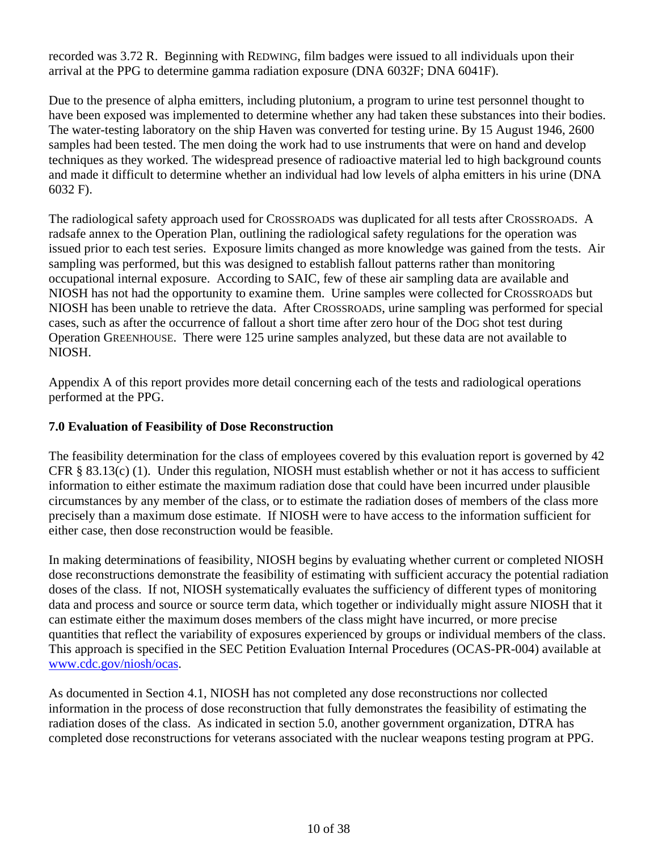recorded was 3.72 R. Beginning with REDWING, film badges were issued to all individuals upon their arrival at the PPG to determine gamma radiation exposure (DNA 6032F; DNA 6041F).

Due to the presence of alpha emitters, including plutonium, a program to urine test personnel thought to have been exposed was implemented to determine whether any had taken these substances into their bodies. The water-testing laboratory on the ship Haven was converted for testing urine. By 15 August 1946, 2600 samples had been tested. The men doing the work had to use instruments that were on hand and develop techniques as they worked. The widespread presence of radioactive material led to high background counts and made it difficult to determine whether an individual had low levels of alpha emitters in his urine (DNA 6032 F).

The radiological safety approach used for CROSSROADS was duplicated for all tests after CROSSROADS. A radsafe annex to the Operation Plan, outlining the radiological safety regulations for the operation was issued prior to each test series. Exposure limits changed as more knowledge was gained from the tests. Air sampling was performed, but this was designed to establish fallout patterns rather than monitoring occupational internal exposure. According to SAIC, few of these air sampling data are available and NIOSH has not had the opportunity to examine them. Urine samples were collected for CROSSROADS but NIOSH has been unable to retrieve the data. After CROSSROADS, urine sampling was performed for special cases, such as after the occurrence of fallout a short time after zero hour of the DOG shot test during Operation GREENHOUSE. There were 125 urine samples analyzed, but these data are not available to NIOSH.

Appendix A of this report provides more detail concerning each of the tests and radiological operations performed at the PPG.

# **7.0 Evaluation of Feasibility of Dose Reconstruction**

The feasibility determination for the class of employees covered by this evaluation report is governed by 42 CFR § 83.13(c) (1). Under this regulation, NIOSH must establish whether or not it has access to sufficient information to either estimate the maximum radiation dose that could have been incurred under plausible circumstances by any member of the class, or to estimate the radiation doses of members of the class more precisely than a maximum dose estimate. If NIOSH were to have access to the information sufficient for either case, then dose reconstruction would be feasible.

In making determinations of feasibility, NIOSH begins by evaluating whether current or completed NIOSH dose reconstructions demonstrate the feasibility of estimating with sufficient accuracy the potential radiation doses of the class. If not, NIOSH systematically evaluates the sufficiency of different types of monitoring data and process and source or source term data, which together or individually might assure NIOSH that it can estimate either the maximum doses members of the class might have incurred, or more precise quantities that reflect the variability of exposures experienced by groups or individual members of the class. This approach is specified in the SEC Petition Evaluation Internal Procedures (OCAS-PR-004) available at www.cdc.gov/niosh/ocas.

As documented in Section 4.1, NIOSH has not completed any dose reconstructions nor collected information in the process of dose reconstruction that fully demonstrates the feasibility of estimating the radiation doses of the class. As indicated in section 5.0, another government organization, DTRA has completed dose reconstructions for veterans associated with the nuclear weapons testing program at PPG.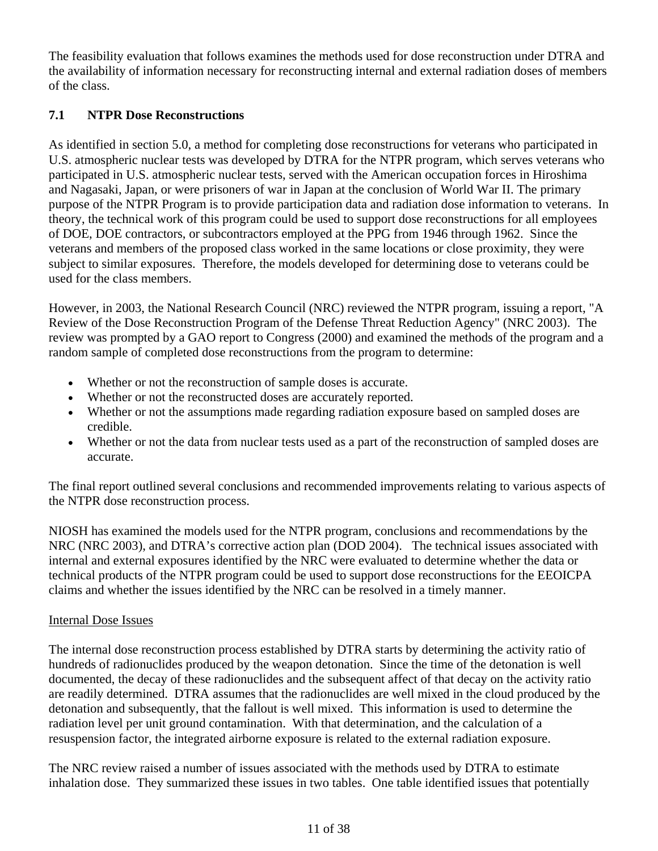The feasibility evaluation that follows examines the methods used for dose reconstruction under DTRA and the availability of information necessary for reconstructing internal and external radiation doses of members of the class.

# **7.1 NTPR Dose Reconstructions**

As identified in section 5.0, a method for completing dose reconstructions for veterans who participated in U.S. atmospheric nuclear tests was developed by DTRA for the NTPR program, which serves veterans who participated in U.S. atmospheric nuclear tests, served with the American occupation forces in Hiroshima and Nagasaki, Japan, or were prisoners of war in Japan at the conclusion of World War II. The primary purpose of the NTPR Program is to provide participation data and radiation dose information to veterans. In theory, the technical work of this program could be used to support dose reconstructions for all employees of DOE, DOE contractors, or subcontractors employed at the PPG from 1946 through 1962. Since the veterans and members of the proposed class worked in the same locations or close proximity, they were subject to similar exposures. Therefore, the models developed for determining dose to veterans could be used for the class members.

However, in 2003, the National Research Council (NRC) reviewed the NTPR program, issuing a report, "A Review of the Dose Reconstruction Program of the Defense Threat Reduction Agency" (NRC 2003). The review was prompted by a GAO report to Congress (2000) and examined the methods of the program and a random sample of completed dose reconstructions from the program to determine:

- Whether or not the reconstruction of sample doses is accurate.
- Whether or not the reconstructed doses are accurately reported.
- Whether or not the assumptions made regarding radiation exposure based on sampled doses are credible.
- Whether or not the data from nuclear tests used as a part of the reconstruction of sampled doses are accurate.

The final report outlined several conclusions and recommended improvements relating to various aspects of the NTPR dose reconstruction process.

NIOSH has examined the models used for the NTPR program, conclusions and recommendations by the NRC (NRC 2003), and DTRA's corrective action plan (DOD 2004). The technical issues associated with internal and external exposures identified by the NRC were evaluated to determine whether the data or technical products of the NTPR program could be used to support dose reconstructions for the EEOICPA claims and whether the issues identified by the NRC can be resolved in a timely manner.

# Internal Dose Issues

The internal dose reconstruction process established by DTRA starts by determining the activity ratio of hundreds of radionuclides produced by the weapon detonation. Since the time of the detonation is well documented, the decay of these radionuclides and the subsequent affect of that decay on the activity ratio are readily determined. DTRA assumes that the radionuclides are well mixed in the cloud produced by the detonation and subsequently, that the fallout is well mixed. This information is used to determine the radiation level per unit ground contamination. With that determination, and the calculation of a resuspension factor, the integrated airborne exposure is related to the external radiation exposure.

The NRC review raised a number of issues associated with the methods used by DTRA to estimate inhalation dose. They summarized these issues in two tables. One table identified issues that potentially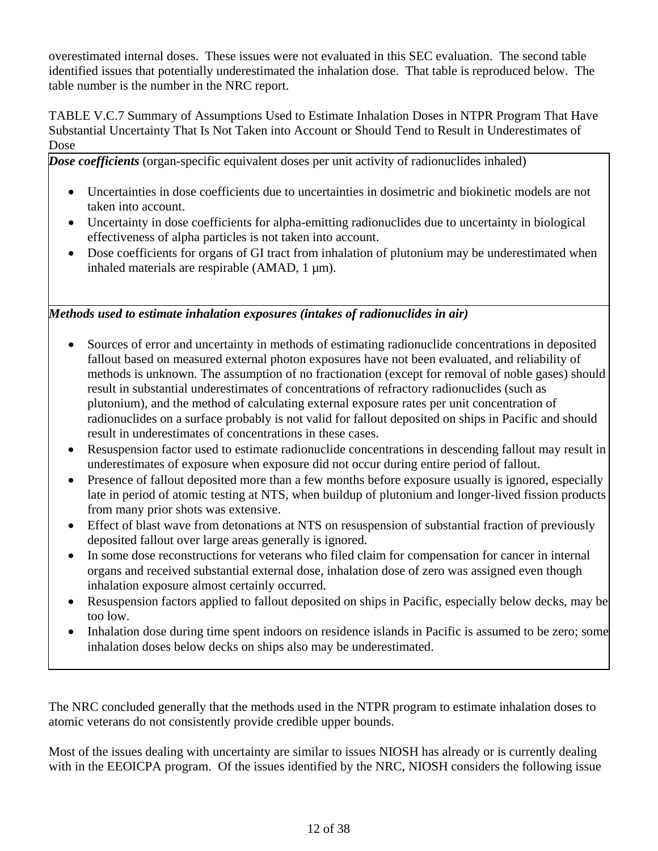overestimated internal doses. These issues were not evaluated in this SEC evaluation. The second table identified issues that potentially underestimated the inhalation dose. That table is reproduced below. The table number is the number in the NRC report.

TABLE V.C.7 Summary of Assumptions Used to Estimate Inhalation Doses in NTPR Program That Have Substantial Uncertainty That Is Not Taken into Account or Should Tend to Result in Underestimates of Dose

*Dose coefficients* (organ-specific equivalent doses per unit activity of radionuclides inhaled)

- Uncertainties in dose coefficients due to uncertainties in dosimetric and biokinetic models are not taken into account.
- Uncertainty in dose coefficients for alpha-emitting radionuclides due to uncertainty in biological effectiveness of alpha particles is not taken into account.
- Dose coefficients for organs of GI tract from inhalation of plutonium may be underestimated when inhaled materials are respirable (AMAD,  $1 \mu m$ ).

*Methods used to estimate inhalation exposures (intakes of radionuclides in air)* 

- Sources of error and uncertainty in methods of estimating radionuclide concentrations in deposited fallout based on measured external photon exposures have not been evaluated, and reliability of methods is unknown. The assumption of no fractionation (except for removal of noble gases) should result in substantial underestimates of concentrations of refractory radionuclides (such as plutonium), and the method of calculating external exposure rates per unit concentration of radionuclides on a surface probably is not valid for fallout deposited on ships in Pacific and should result in underestimates of concentrations in these cases.
- Resuspension factor used to estimate radionuclide concentrations in descending fallout may result in underestimates of exposure when exposure did not occur during entire period of fallout.
- Presence of fallout deposited more than a few months before exposure usually is ignored, especially late in period of atomic testing at NTS, when buildup of plutonium and longer-lived fission products from many prior shots was extensive.
- Effect of blast wave from detonations at NTS on resuspension of substantial fraction of previously deposited fallout over large areas generally is ignored.
- In some dose reconstructions for veterans who filed claim for compensation for cancer in internal organs and received substantial external dose, inhalation dose of zero was assigned even though inhalation exposure almost certainly occurred.
- Resuspension factors applied to fallout deposited on ships in Pacific, especially below decks, may be too low.
- Inhalation dose during time spent indoors on residence islands in Pacific is assumed to be zero; some inhalation doses below decks on ships also may be underestimated.

The NRC concluded generally that the methods used in the NTPR program to estimate inhalation doses to atomic veterans do not consistently provide credible upper bounds.

Most of the issues dealing with uncertainty are similar to issues NIOSH has already or is currently dealing with in the EEOICPA program. Of the issues identified by the NRC, NIOSH considers the following issue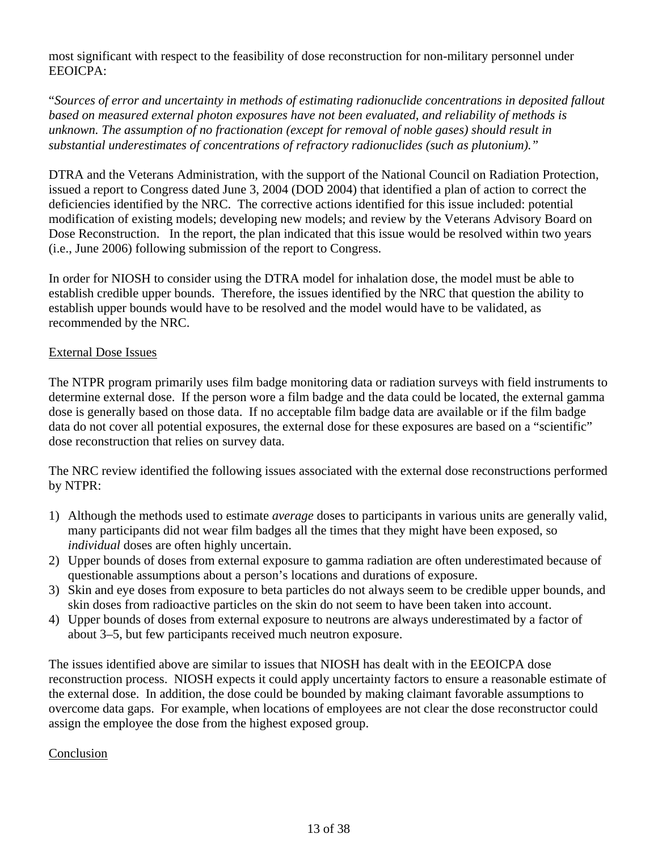most significant with respect to the feasibility of dose reconstruction for non-military personnel under EEOICPA:

"*Sources of error and uncertainty in methods of estimating radionuclide concentrations in deposited fallout based on measured external photon exposures have not been evaluated, and reliability of methods is unknown. The assumption of no fractionation (except for removal of noble gases) should result in substantial underestimates of concentrations of refractory radionuclides (such as plutonium)."* 

DTRA and the Veterans Administration, with the support of the National Council on Radiation Protection, issued a report to Congress dated June 3, 2004 (DOD 2004) that identified a plan of action to correct the deficiencies identified by the NRC. The corrective actions identified for this issue included: potential modification of existing models; developing new models; and review by the Veterans Advisory Board on Dose Reconstruction. In the report, the plan indicated that this issue would be resolved within two years (i.e., June 2006) following submission of the report to Congress.

In order for NIOSH to consider using the DTRA model for inhalation dose, the model must be able to establish credible upper bounds. Therefore, the issues identified by the NRC that question the ability to establish upper bounds would have to be resolved and the model would have to be validated, as recommended by the NRC.

# External Dose Issues

The NTPR program primarily uses film badge monitoring data or radiation surveys with field instruments to determine external dose. If the person wore a film badge and the data could be located, the external gamma dose is generally based on those data. If no acceptable film badge data are available or if the film badge data do not cover all potential exposures, the external dose for these exposures are based on a "scientific" dose reconstruction that relies on survey data.

The NRC review identified the following issues associated with the external dose reconstructions performed by NTPR:

- 1) Although the methods used to estimate *average* doses to participants in various units are generally valid, many participants did not wear film badges all the times that they might have been exposed, so *individual* doses are often highly uncertain.
- 2) Upper bounds of doses from external exposure to gamma radiation are often underestimated because of questionable assumptions about a person's locations and durations of exposure.
- 3) Skin and eye doses from exposure to beta particles do not always seem to be credible upper bounds, and skin doses from radioactive particles on the skin do not seem to have been taken into account.
- 4) Upper bounds of doses from external exposure to neutrons are always underestimated by a factor of about 3–5, but few participants received much neutron exposure.

The issues identified above are similar to issues that NIOSH has dealt with in the EEOICPA dose reconstruction process. NIOSH expects it could apply uncertainty factors to ensure a reasonable estimate of the external dose. In addition, the dose could be bounded by making claimant favorable assumptions to overcome data gaps. For example, when locations of employees are not clear the dose reconstructor could assign the employee the dose from the highest exposed group.

# Conclusion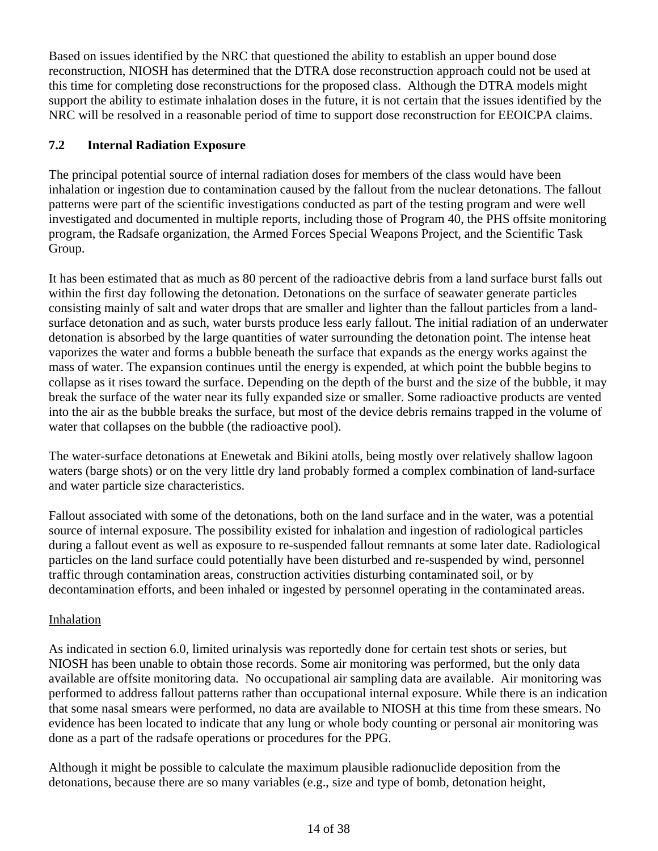Based on issues identified by the NRC that questioned the ability to establish an upper bound dose reconstruction, NIOSH has determined that the DTRA dose reconstruction approach could not be used at this time for completing dose reconstructions for the proposed class. Although the DTRA models might support the ability to estimate inhalation doses in the future, it is not certain that the issues identified by the NRC will be resolved in a reasonable period of time to support dose reconstruction for EEOICPA claims.

# **7.2 Internal Radiation Exposure**

The principal potential source of internal radiation doses for members of the class would have been inhalation or ingestion due to contamination caused by the fallout from the nuclear detonations. The fallout patterns were part of the scientific investigations conducted as part of the testing program and were well investigated and documented in multiple reports, including those of Program 40, the PHS offsite monitoring program, the Radsafe organization, the Armed Forces Special Weapons Project, and the Scientific Task Group.

It has been estimated that as much as 80 percent of the radioactive debris from a land surface burst falls out within the first day following the detonation. Detonations on the surface of seawater generate particles consisting mainly of salt and water drops that are smaller and lighter than the fallout particles from a landsurface detonation and as such, water bursts produce less early fallout. The initial radiation of an underwater detonation is absorbed by the large quantities of water surrounding the detonation point. The intense heat vaporizes the water and forms a bubble beneath the surface that expands as the energy works against the mass of water. The expansion continues until the energy is expended, at which point the bubble begins to collapse as it rises toward the surface. Depending on the depth of the burst and the size of the bubble, it may break the surface of the water near its fully expanded size or smaller. Some radioactive products are vented into the air as the bubble breaks the surface, but most of the device debris remains trapped in the volume of water that collapses on the bubble (the radioactive pool).

and water particle size characteristics. The water-surface detonations at Enewetak and Bikini atolls, being mostly over relatively shallow lagoon waters (barge shots) or on the very little dry land probably formed a complex combination of land-surface

Fallout associated with some of the detonations, both on the land surface and in the water, was a potential source of internal exposure. The possibility existed for inhalation and ingestion of radiological particles during a fallout event as well as exposure to re-suspended fallout remnants at some later date. Radiological particles on the land surface could potentially have been disturbed and re-suspended by wind, personnel traffic through contamination areas, construction activities disturbing contaminated soil, or by decontamination efforts, and been inhaled or ingested by personnel operating in the contaminated areas.

# **Inhalation**

As indicated in section 6.0, limited urinalysis was reportedly done for certain test shots or series, but NIOSH has been unable to obtain those records. Some air monitoring was performed, but the only data available are offsite monitoring data. No occupational air sampling data are available. Air monitoring was performed to address fallout patterns rather than occupational internal exposure. While there is an indication that some nasal smears were performed, no data are available to NIOSH at this time from these smears. No evidence has been located to indicate that any lung or whole body counting or personal air monitoring was done as a part of the radsafe operations or procedures for the PPG.

Although it might be possible to calculate the maximum plausible radionuclide deposition from the detonations, because there are so many variables (e.g., size and type of bomb, detonation height,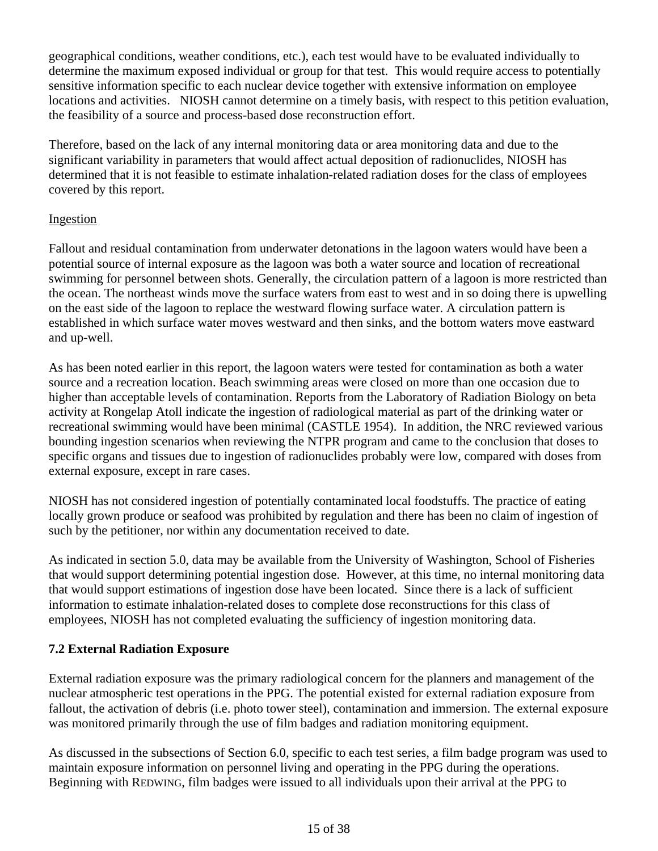geographical conditions, weather conditions, etc.), each test would have to be evaluated individually to determine the maximum exposed individual or group for that test. This would require access to potentially sensitive information specific to each nuclear device together with extensive information on employee locations and activities. NIOSH cannot determine on a timely basis, with respect to this petition evaluation, the feasibility of a source and process-based dose reconstruction effort.

Therefore, based on the lack of any internal monitoring data or area monitoring data and due to the significant variability in parameters that would affect actual deposition of radionuclides, NIOSH has determined that it is not feasible to estimate inhalation-related radiation doses for the class of employees covered by this report.

# Ingestion

Fallout and residual contamination from underwater detonations in the lagoon waters would have been a potential source of internal exposure as the lagoon was both a water source and location of recreational swimming for personnel between shots. Generally, the circulation pattern of a lagoon is more restricted than the ocean. The northeast winds move the surface waters from east to west and in so doing there is upwelling on the east side of the lagoon to replace the westward flowing surface water. A circulation pattern is established in which surface water moves westward and then sinks, and the bottom waters move eastward and up-well.

As has been noted earlier in this report, the lagoon waters were tested for contamination as both a water source and a recreation location. Beach swimming areas were closed on more than one occasion due to higher than acceptable levels of contamination. Reports from the Laboratory of Radiation Biology on beta activity at Rongelap Atoll indicate the ingestion of radiological material as part of the drinking water or recreational swimming would have been minimal (CASTLE 1954). In addition, the NRC reviewed various bounding ingestion scenarios when reviewing the NTPR program and came to the conclusion that doses to specific organs and tissues due to ingestion of radionuclides probably were low, compared with doses from external exposure, except in rare cases.

NIOSH has not considered ingestion of potentially contaminated local foodstuffs. The practice of eating locally grown produce or seafood was prohibited by regulation and there has been no claim of ingestion of such by the petitioner, nor within any documentation received to date.

As indicated in section 5.0, data may be available from the University of Washington, School of Fisheries that would support determining potential ingestion dose. However, at this time, no internal monitoring data that would support estimations of ingestion dose have been located. Since there is a lack of sufficient information to estimate inhalation-related doses to complete dose reconstructions for this class of employees, NIOSH has not completed evaluating the sufficiency of ingestion monitoring data.

# **7.2 External Radiation Exposure**

External radiation exposure was the primary radiological concern for the planners and management of the nuclear atmospheric test operations in the PPG. The potential existed for external radiation exposure from fallout, the activation of debris (i.e. photo tower steel), contamination and immersion. The external exposure was monitored primarily through the use of film badges and radiation monitoring equipment.

As discussed in the subsections of Section 6.0, specific to each test series, a film badge program was used to maintain exposure information on personnel living and operating in the PPG during the operations. Beginning with REDWING, film badges were issued to all individuals upon their arrival at the PPG to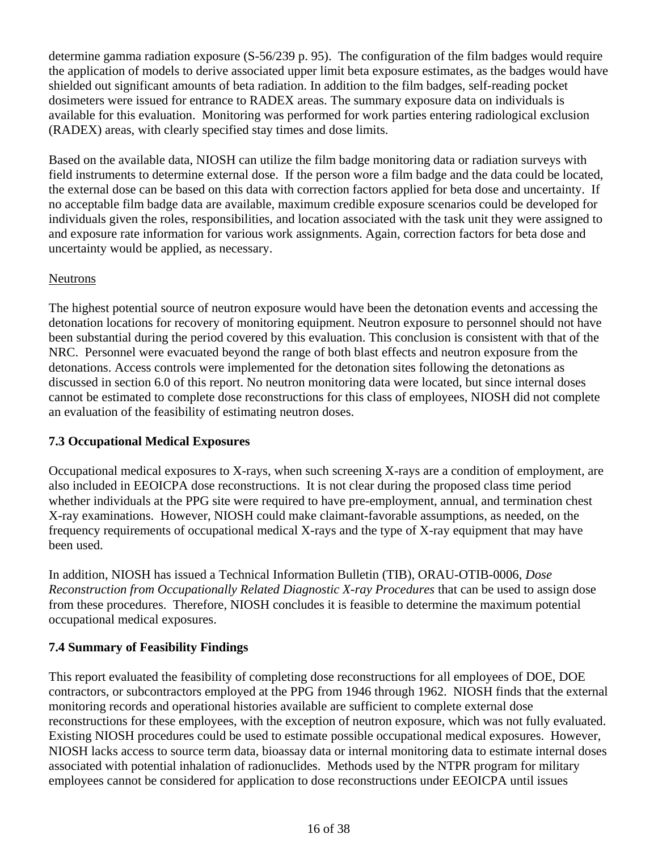determine gamma radiation exposure (S-56/239 p. 95). The configuration of the film badges would require the application of models to derive associated upper limit beta exposure estimates, as the badges would have shielded out significant amounts of beta radiation. In addition to the film badges, self-reading pocket dosimeters were issued for entrance to RADEX areas. The summary exposure data on individuals is available for this evaluation. Monitoring was performed for work parties entering radiological exclusion (RADEX) areas, with clearly specified stay times and dose limits.

Based on the available data, NIOSH can utilize the film badge monitoring data or radiation surveys with field instruments to determine external dose. If the person wore a film badge and the data could be located, the external dose can be based on this data with correction factors applied for beta dose and uncertainty. If no acceptable film badge data are available, maximum credible exposure scenarios could be developed for individuals given the roles, responsibilities, and location associated with the task unit they were assigned to and exposure rate information for various work assignments. Again, correction factors for beta dose and uncertainty would be applied, as necessary.

# Neutrons

The highest potential source of neutron exposure would have been the detonation events and accessing the detonation locations for recovery of monitoring equipment. Neutron exposure to personnel should not have been substantial during the period covered by this evaluation. This conclusion is consistent with that of the NRC. Personnel were evacuated beyond the range of both blast effects and neutron exposure from the detonations. Access controls were implemented for the detonation sites following the detonations as discussed in section 6.0 of this report. No neutron monitoring data were located, but since internal doses cannot be estimated to complete dose reconstructions for this class of employees, NIOSH did not complete an evaluation of the feasibility of estimating neutron doses.

# **7.3 Occupational Medical Exposures**

Occupational medical exposures to X-rays, when such screening X-rays are a condition of employment, are also included in EEOICPA dose reconstructions. It is not clear during the proposed class time period whether individuals at the PPG site were required to have pre-employment, annual, and termination chest X-ray examinations. However, NIOSH could make claimant-favorable assumptions, as needed, on the frequency requirements of occupational medical X-rays and the type of X-ray equipment that may have been used.

In addition, NIOSH has issued a Technical Information Bulletin (TIB), ORAU-OTIB-0006, *Dose Reconstruction from Occupationally Related Diagnostic X-ray Procedures* that can be used to assign dose from these procedures. Therefore, NIOSH concludes it is feasible to determine the maximum potential occupational medical exposures.

# **7.4 Summary of Feasibility Findings**

This report evaluated the feasibility of completing dose reconstructions for all employees of DOE, DOE contractors, or subcontractors employed at the PPG from 1946 through 1962. NIOSH finds that the external monitoring records and operational histories available are sufficient to complete external dose reconstructions for these employees, with the exception of neutron exposure, which was not fully evaluated. Existing NIOSH procedures could be used to estimate possible occupational medical exposures. However, NIOSH lacks access to source term data, bioassay data or internal monitoring data to estimate internal doses associated with potential inhalation of radionuclides. Methods used by the NTPR program for military employees cannot be considered for application to dose reconstructions under EEOICPA until issues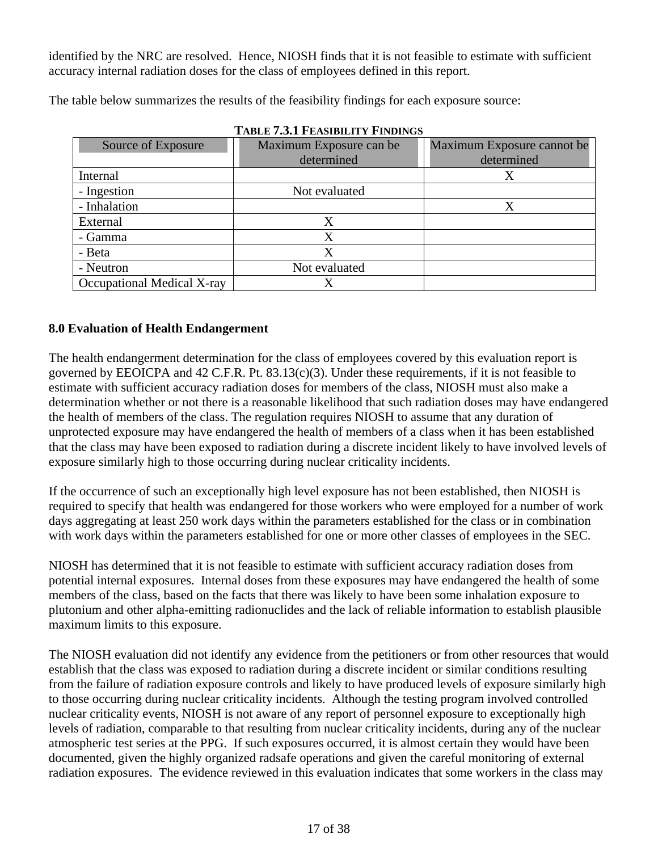identified by the NRC are resolved. Hence, NIOSH finds that it is not feasible to estimate with sufficient accuracy internal radiation doses for the class of employees defined in this report.

The table below summarizes the results of the feasibility findings for each exposure source:

| ТАВЕР 7.9.1 ГРАЗПЛЕН ГЕНУРГУЗ |                         |                            |  |  |  |
|-------------------------------|-------------------------|----------------------------|--|--|--|
| Source of Exposure            | Maximum Exposure can be | Maximum Exposure cannot be |  |  |  |
|                               | determined              | determined                 |  |  |  |
| Internal                      |                         |                            |  |  |  |
| - Ingestion                   | Not evaluated           |                            |  |  |  |
| - Inhalation                  |                         | X                          |  |  |  |
| External                      |                         |                            |  |  |  |
| - Gamma                       | Х                       |                            |  |  |  |
| - Beta                        | X                       |                            |  |  |  |
| - Neutron                     | Not evaluated           |                            |  |  |  |
| Occupational Medical X-ray    |                         |                            |  |  |  |

# **8.0 Evaluation of Health Endangerment**

The health endangerment determination for the class of employees covered by this evaluation report is governed by EEOICPA and 42 C.F.R. Pt. 83.13(c)(3). Under these requirements, if it is not feasible to estimate with sufficient accuracy radiation doses for members of the class, NIOSH must also make a determination whether or not there is a reasonable likelihood that such radiation doses may have endangered the health of members of the class. The regulation requires NIOSH to assume that any duration of unprotected exposure may have endangered the health of members of a class when it has been established that the class may have been exposed to radiation during a discrete incident likely to have involved levels of exposure similarly high to those occurring during nuclear criticality incidents.

If the occurrence of such an exceptionally high level exposure has not been established, then NIOSH is required to specify that health was endangered for those workers who were employed for a number of work days aggregating at least 250 work days within the parameters established for the class or in combination with work days within the parameters established for one or more other classes of employees in the SEC.

NIOSH has determined that it is not feasible to estimate with sufficient accuracy radiation doses from potential internal exposures. Internal doses from these exposures may have endangered the health of some members of the class, based on the facts that there was likely to have been some inhalation exposure to plutonium and other alpha-emitting radionuclides and the lack of reliable information to establish plausible maximum limits to this exposure.

The NIOSH evaluation did not identify any evidence from the petitioners or from other resources that would establish that the class was exposed to radiation during a discrete incident or similar conditions resulting from the failure of radiation exposure controls and likely to have produced levels of exposure similarly high to those occurring during nuclear criticality incidents. Although the testing program involved controlled nuclear criticality events, NIOSH is not aware of any report of personnel exposure to exceptionally high levels of radiation, comparable to that resulting from nuclear criticality incidents, during any of the nuclear atmospheric test series at the PPG. If such exposures occurred, it is almost certain they would have been documented, given the highly organized radsafe operations and given the careful monitoring of external radiation exposures. The evidence reviewed in this evaluation indicates that some workers in the class may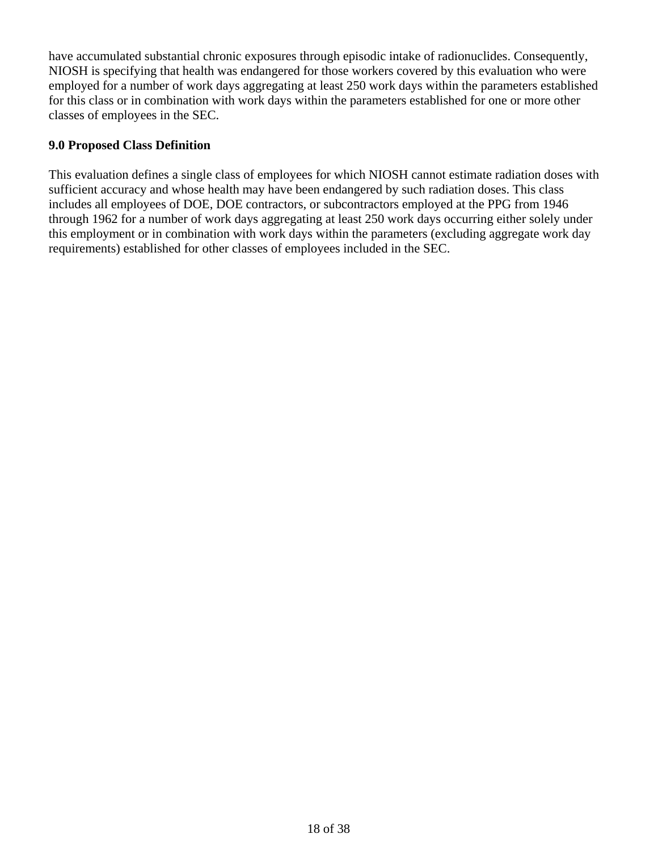have accumulated substantial chronic exposures through episodic intake of radionuclides. Consequently, NIOSH is specifying that health was endangered for those workers covered by this evaluation who were employed for a number of work days aggregating at least 250 work days within the parameters established for this class or in combination with work days within the parameters established for one or more other classes of employees in the SEC.

# **9.0 Proposed Class Definition**

This evaluation defines a single class of employees for which NIOSH cannot estimate radiation doses with sufficient accuracy and whose health may have been endangered by such radiation doses. This class includes all employees of DOE, DOE contractors, or subcontractors employed at the PPG from 1946 through 1962 for a number of work days aggregating at least 250 work days occurring either solely under this employment or in combination with work days within the parameters (excluding aggregate work day requirements) established for other classes of employees included in the SEC.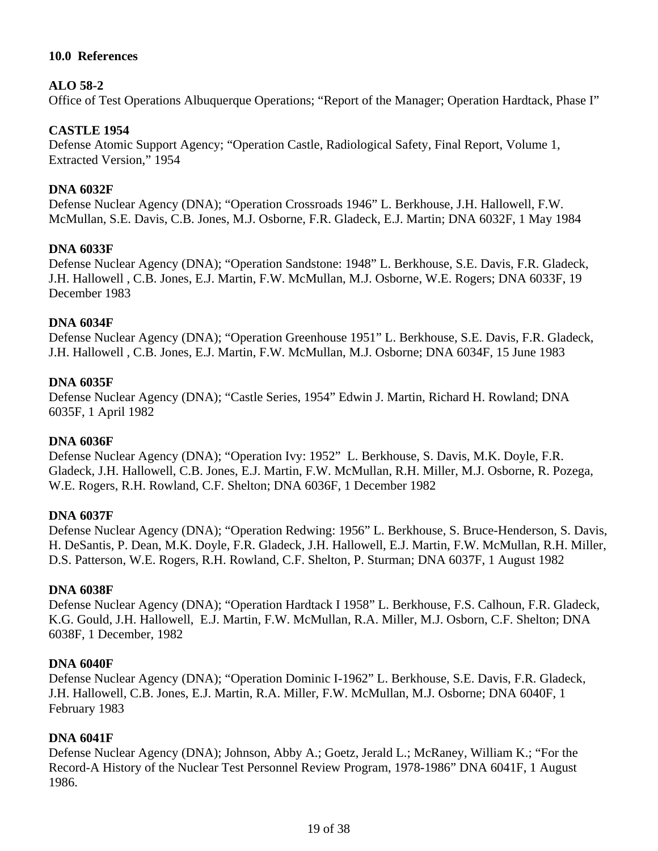# **10.0 References**

### **ALO 58-2**

Office of Test Operations Albuquerque Operations; "Report of the Manager; Operation Hardtack, Phase I"

### **CASTLE 1954**

Defense Atomic Support Agency; "Operation Castle, Radiological Safety, Final Report, Volume 1, Extracted Version," 1954

#### **DNA 6032F**

Defense Nuclear Agency (DNA); "Operation Crossroads 1946" L. Berkhouse, J.H. Hallowell, F.W. McMullan, S.E. Davis, C.B. Jones, M.J. Osborne, F.R. Gladeck, E.J. Martin; DNA 6032F, 1 May 1984

#### **DNA 6033F**

Defense Nuclear Agency (DNA); "Operation Sandstone: 1948" L. Berkhouse, S.E. Davis, F.R. Gladeck, J.H. Hallowell , C.B. Jones, E.J. Martin, F.W. McMullan, M.J. Osborne, W.E. Rogers; DNA 6033F, 19 December 1983

#### **DNA 6034F**

Defense Nuclear Agency (DNA); "Operation Greenhouse 1951" L. Berkhouse, S.E. Davis, F.R. Gladeck, J.H. Hallowell , C.B. Jones, E.J. Martin, F.W. McMullan, M.J. Osborne; DNA 6034F, 15 June 1983

#### **DNA 6035F**

Defense Nuclear Agency (DNA); "Castle Series, 1954" Edwin J. Martin, Richard H. Rowland; DNA 6035F, 1 April 1982

#### **DNA 6036F**

Defense Nuclear Agency (DNA); "Operation Ivy: 1952" L. Berkhouse, S. Davis, M.K. Doyle, F.R. Gladeck, J.H. Hallowell, C.B. Jones, E.J. Martin, F.W. McMullan, R.H. Miller, M.J. Osborne, R. Pozega, W.E. Rogers, R.H. Rowland, C.F. Shelton; DNA 6036F, 1 December 1982

#### **DNA 6037F**

Defense Nuclear Agency (DNA); "Operation Redwing: 1956" L. Berkhouse, S. Bruce-Henderson, S. Davis, H. DeSantis, P. Dean, M.K. Doyle, F.R. Gladeck, J.H. Hallowell, E.J. Martin, F.W. McMullan, R.H. Miller, D.S. Patterson, W.E. Rogers, R.H. Rowland, C.F. Shelton, P. Sturman; DNA 6037F, 1 August 1982

#### **DNA 6038F**

Defense Nuclear Agency (DNA); "Operation Hardtack I 1958" L. Berkhouse, F.S. Calhoun, F.R. Gladeck, K.G. Gould, J.H. Hallowell, E.J. Martin, F.W. McMullan, R.A. Miller, M.J. Osborn, C.F. Shelton; DNA 6038F, 1 December, 1982

#### **DNA 6040F**

Defense Nuclear Agency (DNA); "Operation Dominic I-1962" L. Berkhouse, S.E. Davis, F.R. Gladeck, J.H. Hallowell, C.B. Jones, E.J. Martin, R.A. Miller, F.W. McMullan, M.J. Osborne; DNA 6040F, 1 February 1983

#### **DNA 6041F**

Defense Nuclear Agency (DNA); Johnson, Abby A.; Goetz, Jerald L.; McRaney, William K.; "For the Record-A History of the Nuclear Test Personnel Review Program, 1978-1986" DNA 6041F, 1 August 1986.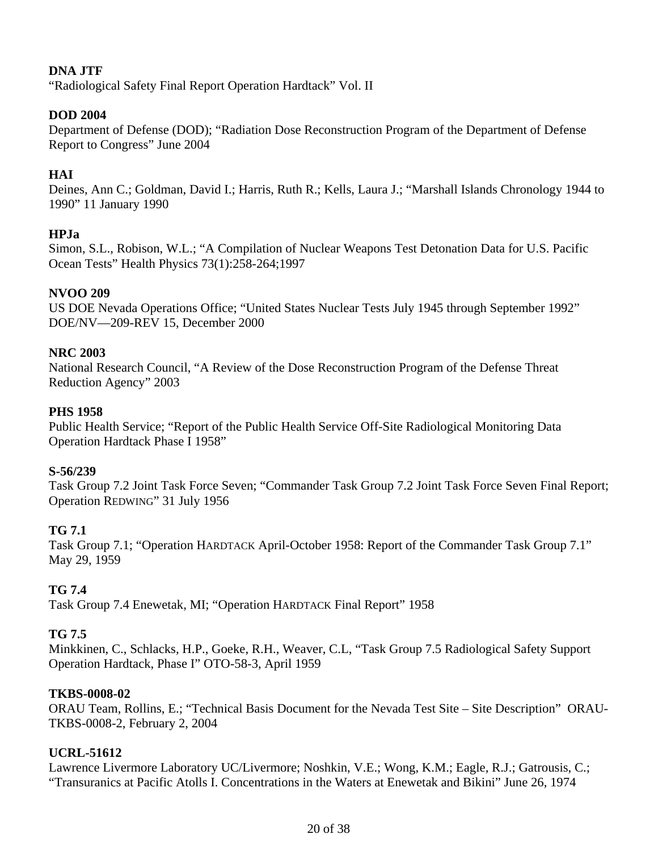# **DNA JTF**

"Radiological Safety Final Report Operation Hardtack" Vol. II

# **DOD 2004**

Department of Defense (DOD); "Radiation Dose Reconstruction Program of the Department of Defense Report to Congress" June 2004

# **HAI**

Deines, Ann C.; Goldman, David I.; Harris, Ruth R.; Kells, Laura J.; "Marshall Islands Chronology 1944 to 1990" 11 January 1990

# **HPJa**

Simon, S.L., Robison, W.L.; "A Compilation of Nuclear Weapons Test Detonation Data for U.S. Pacific Ocean Tests" Health Physics 73(1):258-264;1997

# **NVOO 209**

US DOE Nevada Operations Office; "United States Nuclear Tests July 1945 through September 1992" DOE/NV—209-REV 15, December 2000

# **NRC 2003**

National Research Council, "A Review of the Dose Reconstruction Program of the Defense Threat Reduction Agency" 2003

### **PHS 1958**

Public Health Service; "Report of the Public Health Service Off-Site Radiological Monitoring Data Operation Hardtack Phase I 1958"

# **S-56/239**

Task Group 7.2 Joint Task Force Seven; "Commander Task Group 7.2 Joint Task Force Seven Final Report; Operation REDWING" 31 July 1956

# **TG 7.1**

Task Group 7.1; "Operation HARDTACK April-October 1958: Report of the Commander Task Group 7.1" May 29, 1959

# **TG 7.4**

Task Group 7.4 Enewetak, MI; "Operation HARDTACK Final Report" 1958

# **TG 7.5**

Minkkinen, C., Schlacks, H.P., Goeke, R.H., Weaver, C.L, "Task Group 7.5 Radiological Safety Support Operation Hardtack, Phase I" OTO-58-3, April 1959

# **TKBS-0008-02**

ORAU Team, Rollins, E.; "Technical Basis Document for the Nevada Test Site – Site Description" ORAU-TKBS-0008-2, February 2, 2004

# **UCRL-51612**

Lawrence Livermore Laboratory UC/Livermore; Noshkin, V.E.; Wong, K.M.; Eagle, R.J.; Gatrousis, C.; "Transuranics at Pacific Atolls I. Concentrations in the Waters at Enewetak and Bikini" June 26, 1974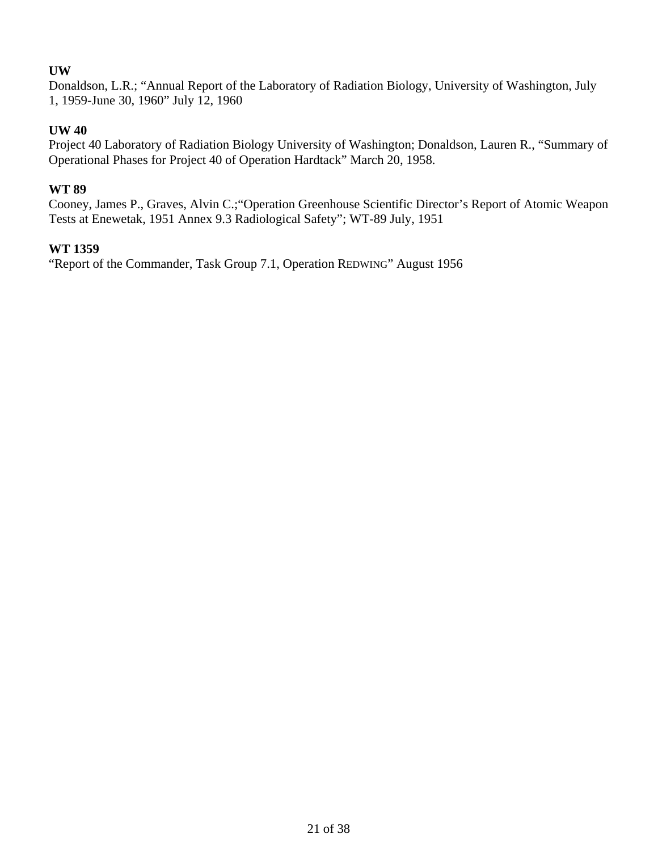# **UW**

Donaldson, L.R.; "Annual Report of the Laboratory of Radiation Biology, University of Washington, July 1, 1959-June 30, 1960" July 12, 1960

# **UW 40**

Project 40 Laboratory of Radiation Biology University of Washington; Donaldson, Lauren R., "Summary of Operational Phases for Project 40 of Operation Hardtack" March 20, 1958.

# **WT 89**

Cooney, James P., Graves, Alvin C.;"Operation Greenhouse Scientific Director's Report of Atomic Weapon Tests at Enewetak, 1951 Annex 9.3 Radiological Safety"; WT-89 July, 1951

# **WT 1359**

"Report of the Commander, Task Group 7.1, Operation REDWING" August 1956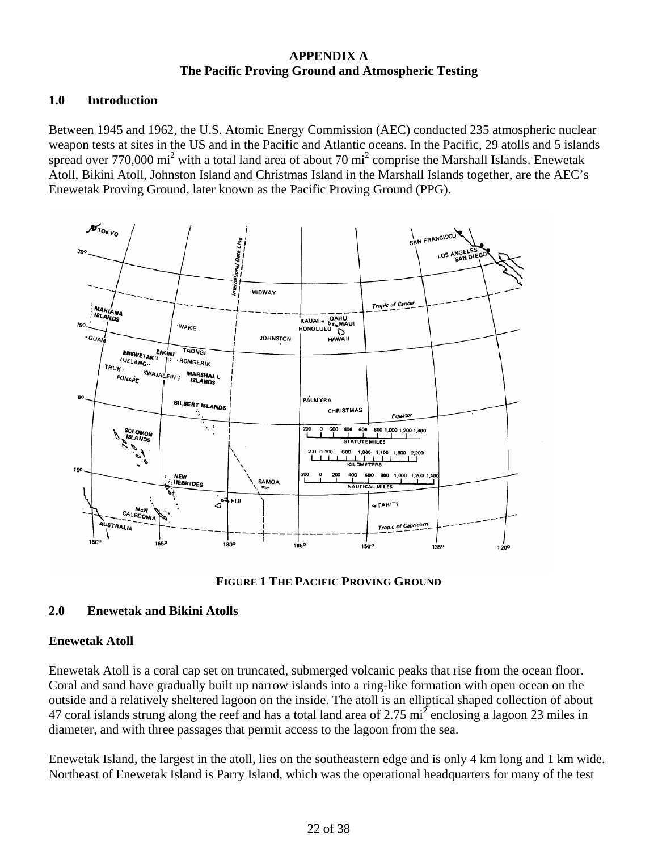# **APPENDIX A The Pacific Proving Ground and Atmospheric Testing**

# **1.0 Introduction**

Between 1945 and 1962, the U.S. Atomic Energy Commission (AEC) conducted 235 atmospheric nuclear weapon tests at sites in the US and in the Pacific and Atlantic oceans. In the Pacific, 29 atolls and 5 islands spread over 770,000 mi<sup>2</sup> with a total land area of about 70 mi<sup>2</sup> comprise the Marshall Islands. Enewetak Atoll, Bikini Atoll, Johnston Island and Christmas Island in the Marshall Islands together, are the AEC's Enewetak Proving Ground, later known as the Pacific Proving Ground (PPG).





# **2.0 Enewetak and Bikini Atolls**

# **Enewetak Atoll**

Enewetak Atoll is a coral cap set on truncated, submerged volcanic peaks that rise from the ocean floor. Coral and sand have gradually built up narrow islands into a ring-like formation with open ocean on the outside and a relatively sheltered lagoon on the inside. The atoll is an elliptical shaped collection of about 47 coral islands strung along the reef and has a total land area of 2.75  $\text{mi}^2$  enclosing a lagoon 23 miles in diameter, and with three passages that permit access to the lagoon from the sea.

Enewetak Island, the largest in the atoll, lies on the southeastern edge and is only 4 km long and 1 km wide. Northeast of Enewetak Island is Parry Island, which was the operational headquarters for many of the test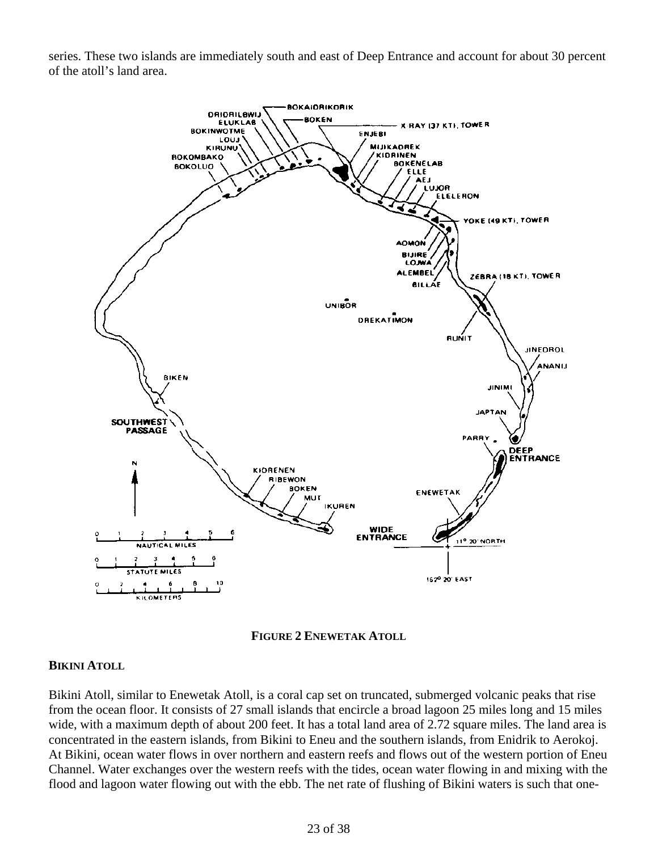series. These two islands are immediately south and east of Deep Entrance and account for about 30 percent of the atoll's land area.





#### **BIKINI ATOLL**

Bikini Atoll, similar to Enewetak Atoll, is a coral cap set on truncated, submerged volcanic peaks that rise from the ocean floor. It consists of 27 small islands that encircle a broad lagoon 25 miles long and 15 miles wide, with a maximum depth of about 200 feet. It has a total land area of 2.72 square miles. The land area is concentrated in the eastern islands, from Bikini to Eneu and the southern islands, from Enidrik to Aerokoj. At Bikini, ocean water flows in over northern and eastern reefs and flows out of the western portion of Eneu Channel. Water exchanges over the western reefs with the tides, ocean water flowing in and mixing with the flood and lagoon water flowing out with the ebb. The net rate of flushing of Bikini waters is such that one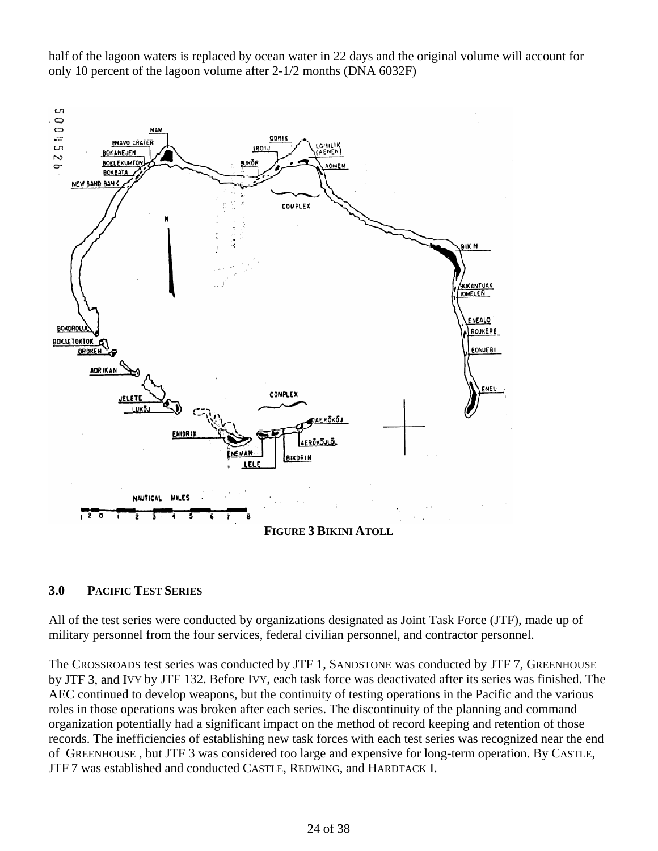half of the lagoon waters is replaced by ocean water in 22 days and the original volume will account for only 10 percent of the lagoon volume after 2-1/2 months (DNA 6032F)



#### **3.0 PACIFIC TEST SERIES**

All of the test series were conducted by organizations designated as Joint Task Force (JTF), made up of military personnel from the four services, federal civilian personnel, and contractor personnel.

The CROSSROADS test series was conducted by JTF 1, SANDSTONE was conducted by JTF 7, GREENHOUSE by JTF 3, and IVY by JTF 132. Before IVY, each task force was deactivated after its series was finished. The AEC continued to develop weapons, but the continuity of testing operations in the Pacific and the various roles in those operations was broken after each series. The discontinuity of the planning and command organization potentially had a significant impact on the method of record keeping and retention of those records. The inefficiencies of establishing new task forces with each test series was recognized near the end of GREENHOUSE , but JTF 3 was considered too large and expensive for long-term operation. By CASTLE, JTF 7 was established and conducted CASTLE, REDWING, and HARDTACK I.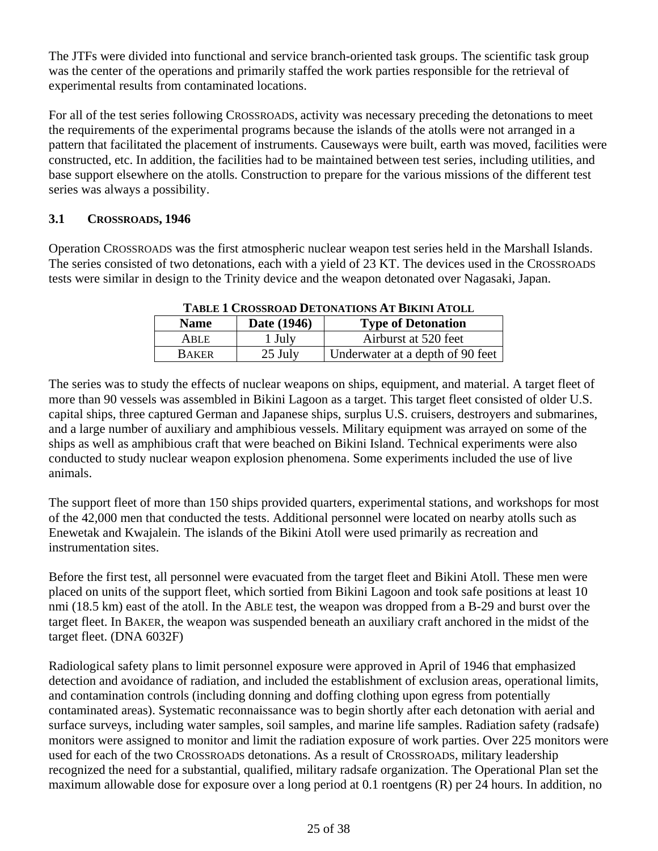The JTFs were divided into functional and service branch-oriented task groups. The scientific task group was the center of the operations and primarily staffed the work parties responsible for the retrieval of experimental results from contaminated locations.

For all of the test series following CROSSROADS, activity was necessary preceding the detonations to meet the requirements of the experimental programs because the islands of the atolls were not arranged in a pattern that facilitated the placement of instruments. Causeways were built, earth was moved, facilities were constructed, etc. In addition, the facilities had to be maintained between test series, including utilities, and base support elsewhere on the atolls. Construction to prepare for the various missions of the different test series was always a possibility.

# **3.1 CROSSROADS, 1946**

Operation CROSSROADS was the first atmospheric nuclear weapon test series held in the Marshall Islands. The series consisted of two detonations, each with a yield of 23 KT. The devices used in the CROSSROADS tests were similar in design to the Trinity device and the weapon detonated over Nagasaki, Japan.

| 1.1000 1 CAUGULUID DELUI 1.11.000 1.11.000 1.11.11.11.11 |             |                                  |  |
|----------------------------------------------------------|-------------|----------------------------------|--|
| <b>Name</b>                                              | Date (1946) | <b>Type of Detonation</b>        |  |
| ARLE                                                     | 1 July      | Airburst at 520 feet             |  |
| <b>BAKER</b>                                             | 25 July     | Underwater at a depth of 90 feet |  |
|                                                          |             |                                  |  |

**TABLE 1 CROSSROAD DETONATIONS AT BIKINI ATOLL** 

The series was to study the effects of nuclear weapons on ships, equipment, and material. A target fleet of more than 90 vessels was assembled in Bikini Lagoon as a target. This target fleet consisted of older U.S. capital ships, three captured German and Japanese ships, surplus U.S. cruisers, destroyers and submarines, and a large number of auxiliary and amphibious vessels. Military equipment was arrayed on some of the ships as well as amphibious craft that were beached on Bikini Island. Technical experiments were also conducted to study nuclear weapon explosion phenomena. Some experiments included the use of live animals.

The support fleet of more than 150 ships provided quarters, experimental stations, and workshops for most of the 42,000 men that conducted the tests. Additional personnel were located on nearby atolls such as Enewetak and Kwajalein. The islands of the Bikini Atoll were used primarily as recreation and instrumentation sites.

Before the first test, all personnel were evacuated from the target fleet and Bikini Atoll. These men were placed on units of the support fleet, which sortied from Bikini Lagoon and took safe positions at least 10 nmi (18.5 km) east of the atoll. In the ABLE test, the weapon was dropped from a B-29 and burst over the target fleet. In BAKER, the weapon was suspended beneath an auxiliary craft anchored in the midst of the target fleet. (DNA 6032F)

Radiological safety plans to limit personnel exposure were approved in April of 1946 that emphasized detection and avoidance of radiation, and included the establishment of exclusion areas, operational limits, and contamination controls (including donning and doffing clothing upon egress from potentially contaminated areas). Systematic reconnaissance was to begin shortly after each detonation with aerial and surface surveys, including water samples, soil samples, and marine life samples. Radiation safety (radsafe) monitors were assigned to monitor and limit the radiation exposure of work parties. Over 225 monitors were used for each of the two CROSSROADS detonations. As a result of CROSSROADS, military leadership recognized the need for a substantial, qualified, military radsafe organization. The Operational Plan set the maximum allowable dose for exposure over a long period at 0.1 roentgens (R) per 24 hours. In addition, no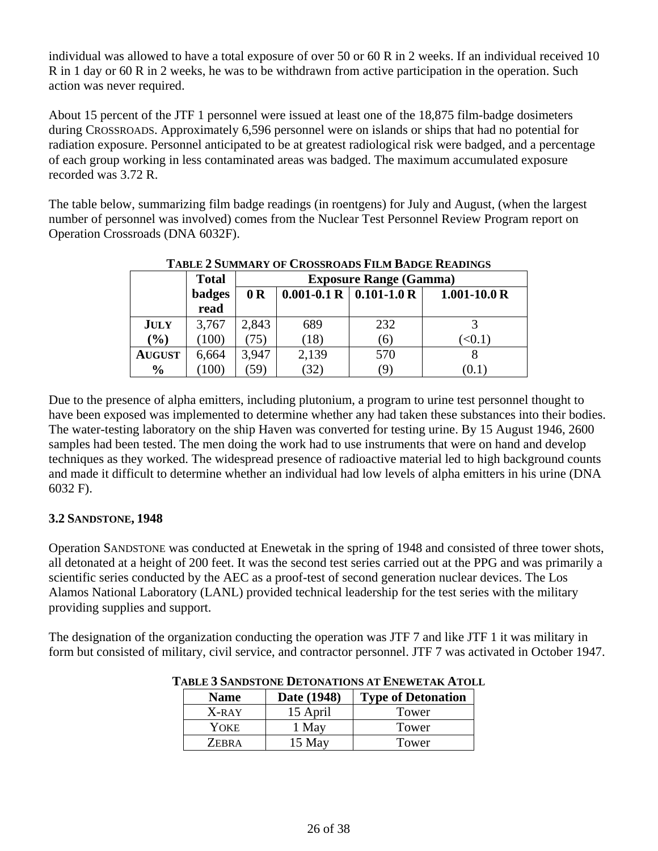individual was allowed to have a total exposure of over 50 or 60 R in 2 weeks. If an individual received 10 R in 1 day or 60 R in 2 weeks, he was to be withdrawn from active participation in the operation. Such action was never required.

About 15 percent of the JTF 1 personnel were issued at least one of the 18,875 film-badge dosimeters during CROSSROADS. Approximately 6,596 personnel were on islands or ships that had no potential for radiation exposure. Personnel anticipated to be at greatest radiological risk were badged, and a percentage of each group working in less contaminated areas was badged. The maximum accumulated exposure recorded was 3.72 R.

The table below, summarizing film badge readings (in roentgens) for July and August, (when the largest number of personnel was involved) comes from the Nuclear Test Personnel Review Program report on Operation Crossroads (DNA 6032F).

|               | <b>Total</b>  | <b>Exposure Range (Gamma)</b> |                               |     |                  |
|---------------|---------------|-------------------------------|-------------------------------|-----|------------------|
|               | <b>badges</b> | 0 <sub>R</sub>                | $0.001 - 0.1 R$   0.101-1.0 R |     | $1.001 - 10.0 R$ |
|               | read          |                               |                               |     |                  |
| <b>JULY</b>   | 3,767         | 2,843                         | 689                           | 232 |                  |
| $(\%)$        | (100)         | 75)                           | (18)                          | (6) | $\leq 0.1$       |
| <b>AUGUST</b> | 6,664         | 3,947                         | 2,139                         | 570 |                  |
| $\frac{0}{0}$ | 100)          | (59)                          | (32)                          | (9) | (U.I             |

# **TABLE 2 SUMMARY OF CROSSROADS FILM BADGE READINGS**

Due to the presence of alpha emitters, including plutonium, a program to urine test personnel thought to have been exposed was implemented to determine whether any had taken these substances into their bodies. The water-testing laboratory on the ship Haven was converted for testing urine. By 15 August 1946, 2600 samples had been tested. The men doing the work had to use instruments that were on hand and develop techniques as they worked. The widespread presence of radioactive material led to high background counts and made it difficult to determine whether an individual had low levels of alpha emitters in his urine (DNA 6032 F).

# **3.2 SANDSTONE, 1948**

Operation SANDSTONE was conducted at Enewetak in the spring of 1948 and consisted of three tower shots, all detonated at a height of 200 feet. It was the second test series carried out at the PPG and was primarily a scientific series conducted by the AEC as a proof-test of second generation nuclear devices. The Los Alamos National Laboratory (LANL) provided technical leadership for the test series with the military providing supplies and support.

The designation of the organization conducting the operation was JTF 7 and like JTF 1 it was military in form but consisted of military, civil service, and contractor personnel. JTF 7 was activated in October 1947.

| <b>Name</b>  | Date (1948) | <b>Type of Detonation</b> |
|--------------|-------------|---------------------------|
| $X-RAY$      | 15 April    | Tower                     |
| YOKE         | May         | Tower                     |
| <b>ZEBRA</b> | 15 May      | Tower                     |

**TABLE 3 SANDSTONE DETONATIONS AT ENEWETAK ATOLL**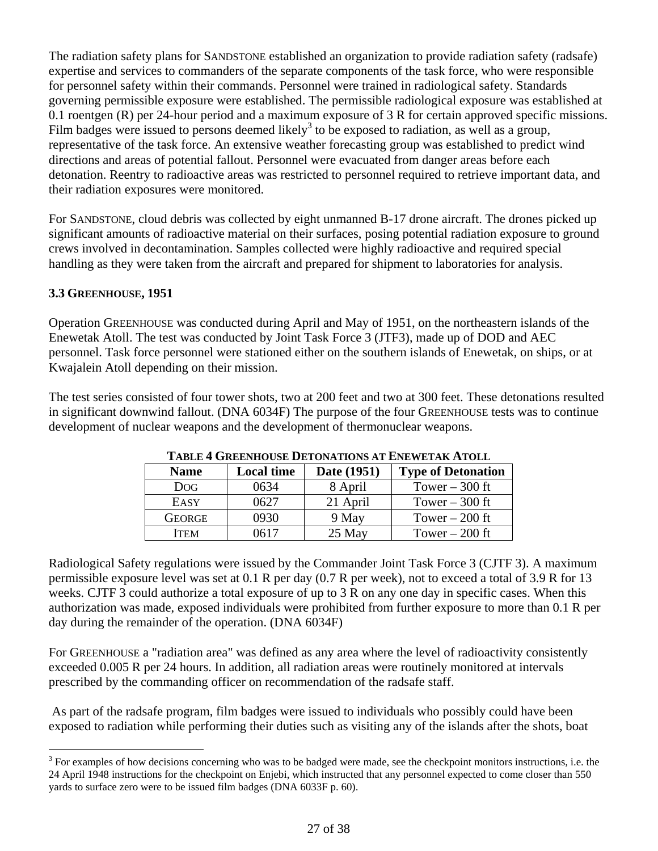The radiation safety plans for SANDSTONE established an organization to provide radiation safety (radsafe) expertise and services to commanders of the separate components of the task force, who were responsible for personnel safety within their commands. Personnel were trained in radiological safety. Standards governing permissible exposure were established. The permissible radiological exposure was established at 0.1 roentgen (R) per 24-hour period and a maximum exposure of 3 R for certain approved specific missions. Film badges were issued to persons deemed likely<sup>3</sup> to be exposed to radiation, as well as a group, representative of the task force. An extensive weather forecasting group was established to predict wind directions and areas of potential fallout. Personnel were evacuated from danger areas before each detonation. Reentry to radioactive areas was restricted to personnel required to retrieve important data, and their radiation exposures were monitored.

For SANDSTONE, cloud debris was collected by eight unmanned B-17 drone aircraft. The drones picked up significant amounts of radioactive material on their surfaces, posing potential radiation exposure to ground crews involved in decontamination. Samples collected were highly radioactive and required special handling as they were taken from the aircraft and prepared for shipment to laboratories for analysis.

# **3.3 GREENHOUSE, 1951**

Operation GREENHOUSE was conducted during April and May of 1951, on the northeastern islands of the Enewetak Atoll. The test was conducted by Joint Task Force 3 (JTF3), made up of DOD and AEC personnel. Task force personnel were stationed either on the southern islands of Enewetak, on ships, or at Kwajalein Atoll depending on their mission.

The test series consisted of four tower shots, two at 200 feet and two at 300 feet. These detonations resulted in significant downwind fallout. (DNA 6034F) The purpose of the four GREENHOUSE tests was to continue development of nuclear weapons and the development of thermonuclear weapons.

| <b>Name</b>   | <b>Local time</b> | Date (1951) | <b>Type of Detonation</b> |
|---------------|-------------------|-------------|---------------------------|
| <b>DOG</b>    | 0634              | 8 April     | Tower $-300$ ft           |
| EASY          | 0627              | 21 April    | Tower $-300$ ft           |
| <b>GEORGE</b> | 0930              | 9 May       | Tower $-200$ ft           |
| <b>ITEM</b>   | በ617              | 25 May      | Tower $-200$ ft           |

#### **TABLE 4 GREENHOUSE DETONATIONS AT ENEWETAK ATOLL**

Radiological Safety regulations were issued by the Commander Joint Task Force 3 (CJTF 3). A maximum permissible exposure level was set at 0.1 R per day (0.7 R per week), not to exceed a total of 3.9 R for 13 weeks. CJTF 3 could authorize a total exposure of up to 3 R on any one day in specific cases. When this authorization was made, exposed individuals were prohibited from further exposure to more than 0.1 R per day during the remainder of the operation. (DNA 6034F)

For GREENHOUSE a "radiation area" was defined as any area where the level of radioactivity consistently exceeded 0.005 R per 24 hours. In addition, all radiation areas were routinely monitored at intervals prescribed by the commanding officer on recommendation of the radsafe staff.

 As part of the radsafe program, film badges were issued to individuals who possibly could have been exposed to radiation while performing their duties such as visiting any of the islands after the shots, boat

<sup>1</sup>  $3$  For examples of how decisions concerning who was to be badged were made, see the checkpoint monitors instructions, i.e. the 24 April 1948 instructions for the checkpoint on Enjebi, which instructed that any personnel expected to come closer than 550 yards to surface zero were to be issued film badges (DNA 6033F p. 60).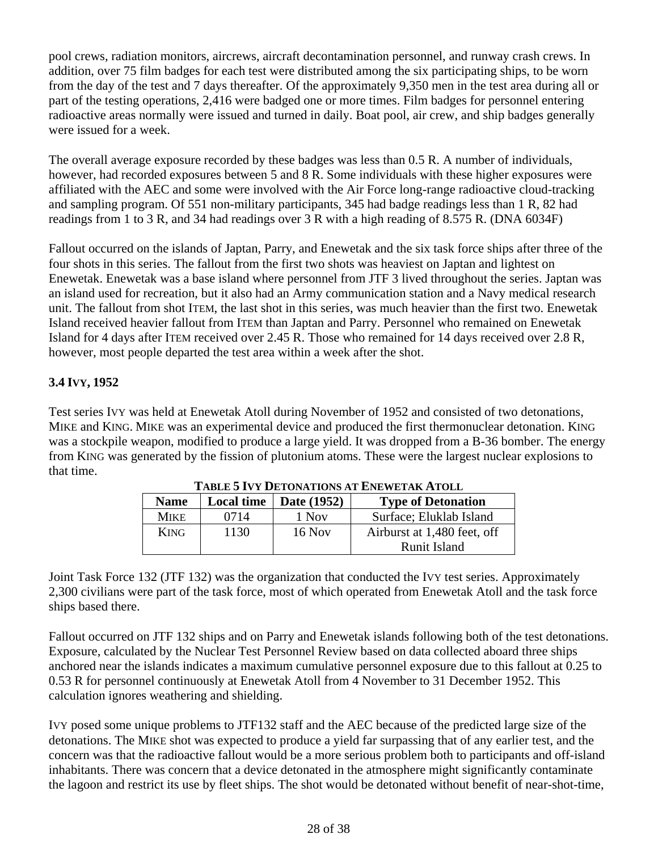pool crews, radiation monitors, aircrews, aircraft decontamination personnel, and runway crash crews. In addition, over 75 film badges for each test were distributed among the six participating ships, to be worn from the day of the test and 7 days thereafter. Of the approximately 9,350 men in the test area during all or part of the testing operations, 2,416 were badged one or more times. Film badges for personnel entering radioactive areas normally were issued and turned in daily. Boat pool, air crew, and ship badges generally were issued for a week.

The overall average exposure recorded by these badges was less than 0.5 R. A number of individuals, however, had recorded exposures between 5 and 8 R. Some individuals with these higher exposures were affiliated with the AEC and some were involved with the Air Force long-range radioactive cloud-tracking and sampling program. Of 551 non-military participants, 345 had badge readings less than 1 R, 82 had readings from 1 to 3 R, and 34 had readings over 3 R with a high reading of 8.575 R. (DNA 6034F)

Fallout occurred on the islands of Japtan, Parry, and Enewetak and the six task force ships after three of the four shots in this series. The fallout from the first two shots was heaviest on Japtan and lightest on Enewetak. Enewetak was a base island where personnel from JTF 3 lived throughout the series. Japtan was an island used for recreation, but it also had an Army communication station and a Navy medical research unit. The fallout from shot ITEM, the last shot in this series, was much heavier than the first two. Enewetak Island received heavier fallout from ITEM than Japtan and Parry. Personnel who remained on Enewetak Island for 4 days after ITEM received over 2.45 R. Those who remained for 14 days received over 2.8 R, however, most people departed the test area within a week after the shot.

# **3.4 IVY, 1952**

Test series IVY was held at Enewetak Atoll during November of 1952 and consisted of two detonations, MIKE and KING. MIKE was an experimental device and produced the first thermonuclear detonation. KING was a stockpile weapon, modified to produce a large yield. It was dropped from a B-36 bomber. The energy from KING was generated by the fission of plutonium atoms. These were the largest nuclear explosions to that time.

|             | TABLE 3 TV I DETUNATIONS AT ENEWETAN ATULL |                                |                             |  |
|-------------|--------------------------------------------|--------------------------------|-----------------------------|--|
| <b>Name</b> |                                            | Local time $\vert$ Date (1952) | <b>Type of Detonation</b>   |  |
| <b>MIKE</b> | 0714                                       | 1 Nov                          | Surface; Eluklab Island     |  |
| <b>KING</b> | 1130                                       | 16 Nov                         | Airburst at 1,480 feet, off |  |
|             |                                            |                                | Runit Island                |  |

**TABLE 5 IVY DETONATIONS AT ENEWETAK ATOLL** 

Joint Task Force 132 (JTF 132) was the organization that conducted the IVY test series. Approximately 2,300 civilians were part of the task force, most of which operated from Enewetak Atoll and the task force ships based there.

Fallout occurred on JTF 132 ships and on Parry and Enewetak islands following both of the test detonations. Exposure, calculated by the Nuclear Test Personnel Review based on data collected aboard three ships anchored near the islands indicates a maximum cumulative personnel exposure due to this fallout at 0.25 to 0.53 R for personnel continuously at Enewetak Atoll from 4 November to 31 December 1952. This calculation ignores weathering and shielding.

IVY posed some unique problems to JTF132 staff and the AEC because of the predicted large size of the detonations. The MIKE shot was expected to produce a yield far surpassing that of any earlier test, and the concern was that the radioactive fallout would be a more serious problem both to participants and off-island inhabitants. There was concern that a device detonated in the atmosphere might significantly contaminate the lagoon and restrict its use by fleet ships. The shot would be detonated without benefit of near-shot-time,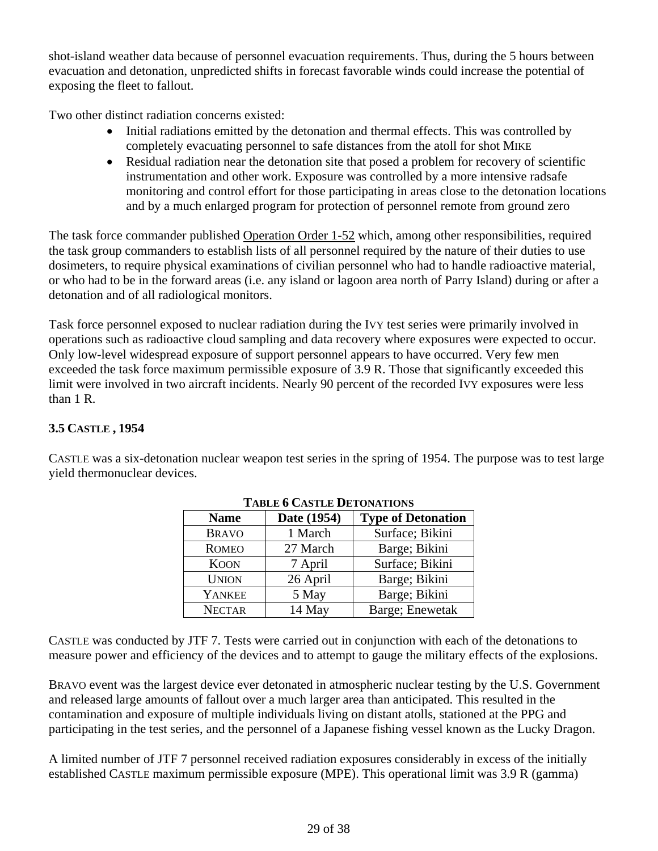shot-island weather data because of personnel evacuation requirements. Thus, during the 5 hours between evacuation and detonation, unpredicted shifts in forecast favorable winds could increase the potential of exposing the fleet to fallout.

Two other distinct radiation concerns existed:

- Initial radiations emitted by the detonation and thermal effects. This was controlled by completely evacuating personnel to safe distances from the atoll for shot MIKE
- Residual radiation near the detonation site that posed a problem for recovery of scientific instrumentation and other work. Exposure was controlled by a more intensive radsafe monitoring and control effort for those participating in areas close to the detonation locations and by a much enlarged program for protection of personnel remote from ground zero

The task force commander published Operation Order 1-52 which, among other responsibilities, required the task group commanders to establish lists of all personnel required by the nature of their duties to use dosimeters, to require physical examinations of civilian personnel who had to handle radioactive material, or who had to be in the forward areas (i.e. any island or lagoon area north of Parry Island) during or after a detonation and of all radiological monitors.

Task force personnel exposed to nuclear radiation during the IVY test series were primarily involved in operations such as radioactive cloud sampling and data recovery where exposures were expected to occur. Only low-level widespread exposure of support personnel appears to have occurred. Very few men exceeded the task force maximum permissible exposure of 3.9 R. Those that significantly exceeded this limit were involved in two aircraft incidents. Nearly 90 percent of the recorded IVY exposures were less than 1 R.

# **3.5 CASTLE , 1954**

CASTLE was a six-detonation nuclear weapon test series in the spring of 1954. The purpose was to test large yield thermonuclear devices.

| ТАРЕЕ У САЯТЕЕ РЕТОВАТІОВ |             |                           |  |
|---------------------------|-------------|---------------------------|--|
| <b>Name</b>               | Date (1954) | <b>Type of Detonation</b> |  |
| <b>BRAVO</b>              | 1 March     | Surface; Bikini           |  |
| <b>ROMEO</b>              | 27 March    | Barge; Bikini             |  |
| <b>KOON</b>               | 7 April     | Surface; Bikini           |  |
| <b>UNION</b>              | 26 April    | Barge; Bikini             |  |
| YANKEE                    | 5 May       | Barge; Bikini             |  |
| <b>NECTAR</b>             | 14 May      | Barge; Enewetak           |  |

**TABLE 6 CASTLE DETONATIONS** 

CASTLE was conducted by JTF 7. Tests were carried out in conjunction with each of the detonations to measure power and efficiency of the devices and to attempt to gauge the military effects of the explosions.

BRAVO event was the largest device ever detonated in atmospheric nuclear testing by the U.S. Government and released large amounts of fallout over a much larger area than anticipated. This resulted in the contamination and exposure of multiple individuals living on distant atolls, stationed at the PPG and participating in the test series, and the personnel of a Japanese fishing vessel known as the Lucky Dragon.

A limited number of JTF 7 personnel received radiation exposures considerably in excess of the initially established CASTLE maximum permissible exposure (MPE). This operational limit was 3.9 R (gamma)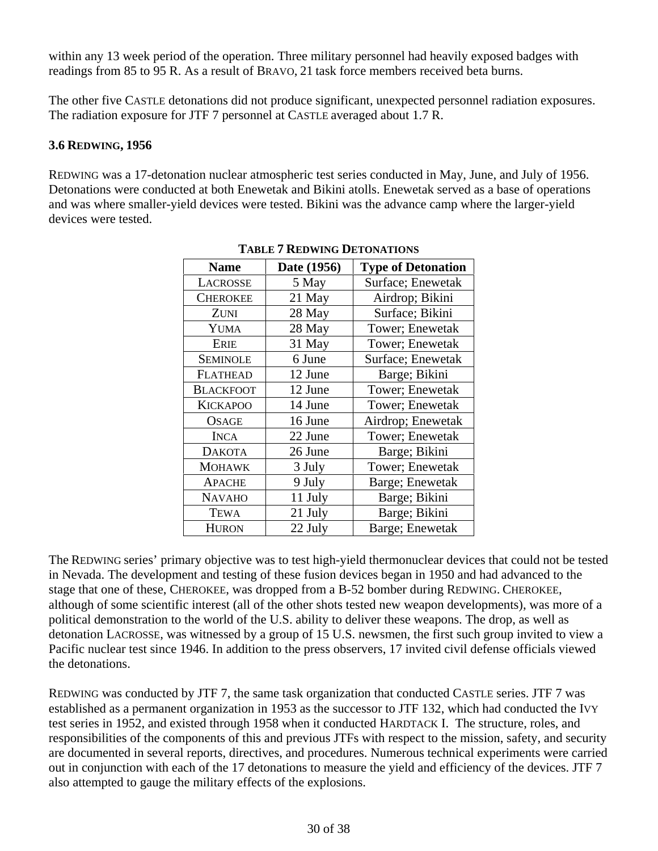readings from 85 to 95 R. As a result of BRAVO, 21 task force members received beta burns. within any 13 week period of the operation. Three military personnel had heavily exposed badges with

The other five CASTLE detonations did not produce significant, unexpected personnel radiation exposures. The radiation exposure for JTF 7 personnel at CASTLE averaged about 1.7 R.

# **3.6 REDWING, 1956**

REDWING was a 17-detonation nuclear atmospheric test series conducted in May, June, and July of 1956. Detonations were conducted at both Enewetak and Bikini atolls. Enewetak served as a base of operations and was where smaller-yield devices were tested. Bikini was the advance camp where the larger-yield devices were tested.

| <b>Name</b>      | Date (1956) | <b>Type of Detonation</b> |
|------------------|-------------|---------------------------|
| LACROSSE         | 5 May       | Surface; Enewetak         |
| <b>CHEROKEE</b>  | 21 May      | Airdrop; Bikini           |
| ZUNI             | 28 May      | Surface; Bikini           |
| YUMA             | 28 May      | Tower; Enewetak           |
| <b>ERIE</b>      | 31 May      | Tower; Enewetak           |
| <b>SEMINOLE</b>  | 6 June      | Surface; Enewetak         |
| <b>FLATHEAD</b>  | 12 June     | Barge; Bikini             |
| <b>BLACKFOOT</b> | 12 June     | Tower; Enewetak           |
| <b>KICKAPOO</b>  | 14 June     | Tower; Enewetak           |
| <b>OSAGE</b>     | 16 June     | Airdrop; Enewetak         |
| <b>INCA</b>      | 22 June     | Tower; Enewetak           |
| <b>DAKOTA</b>    | 26 June     | Barge; Bikini             |
| <b>MOHAWK</b>    | 3 July      | Tower; Enewetak           |
| <b>APACHE</b>    | 9 July      | Barge; Enewetak           |
| <b>NAVAHO</b>    | 11 July     | Barge; Bikini             |
| <b>TEWA</b>      | 21 July     | Barge; Bikini             |
| <b>HURON</b>     | 22 July     | Barge; Enewetak           |

**TABLE 7 REDWING DETONATIONS** 

The REDWING series' primary objective was to test high-yield thermonuclear devices that could not be tested in Nevada. The development and testing of these fusion devices began in 1950 and had advanced to the stage that one of these, CHEROKEE, was dropped from a B-52 bomber during REDWING. CHEROKEE, although of some scientific interest (all of the other shots tested new weapon developments), was more of a political demonstration to the world of the U.S. ability to deliver these weapons. The drop, as well as detonation LACROSSE, was witnessed by a group of 15 U.S. newsmen, the first such group invited to view a Pacific nuclear test since 1946. In addition to the press observers, 17 invited civil defense officials viewed the detonations.

REDWING was conducted by JTF 7, the same task organization that conducted CASTLE series. JTF 7 was established as a permanent organization in 1953 as the successor to JTF 132, which had conducted the IVY test series in 1952, and existed through 1958 when it conducted HARDTACK I. The structure, roles, and responsibilities of the components of this and previous JTFs with respect to the mission, safety, and security are documented in several reports, directives, and procedures. Numerous technical experiments were carried out in conjunction with each of the 17 detonations to measure the yield and efficiency of the devices. JTF 7 also attempted to gauge the military effects of the explosions.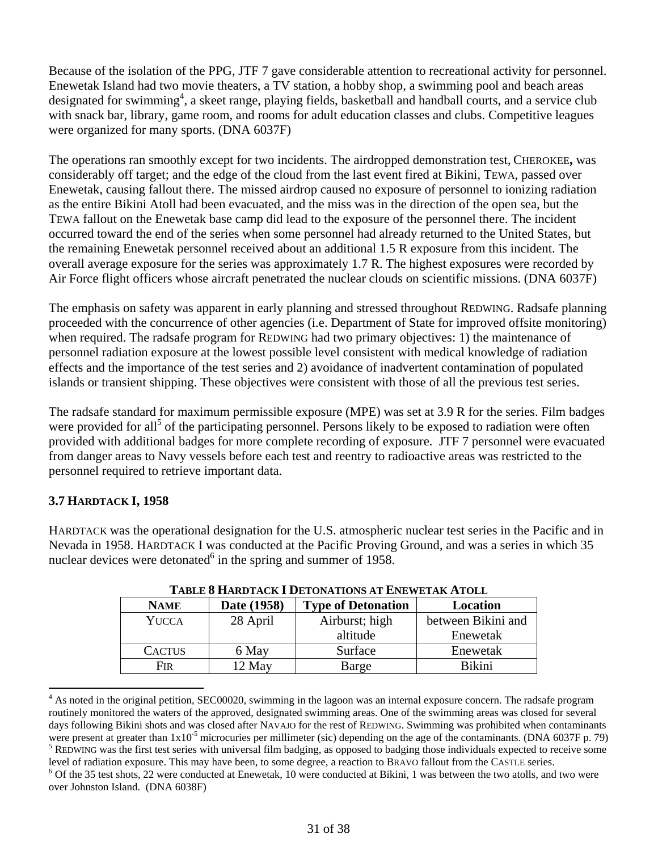Because of the isolation of the PPG, JTF 7 gave considerable attention to recreational activity for personnel. Enewetak Island had two movie theaters, a TV station, a hobby shop, a swimming pool and beach areas designated for swimming<sup>4</sup>, a skeet range, playing fields, basketball and handball courts, and a service club with snack bar, library, game room, and rooms for adult education classes and clubs. Competitive leagues were organized for many sports. (DNA 6037F)

The operations ran smoothly except for two incidents. The airdropped demonstration test, CHEROKEE**,** was considerably off target; and the edge of the cloud from the last event fired at Bikini, TEWA, passed over Enewetak, causing fallout there. The missed airdrop caused no exposure of personnel to ionizing radiation as the entire Bikini Atoll had been evacuated, and the miss was in the direction of the open sea, but the TEWA fallout on the Enewetak base camp did lead to the exposure of the personnel there. The incident occurred toward the end of the series when some personnel had already returned to the United States, but the remaining Enewetak personnel received about an additional 1.5 R exposure from this incident. The overall average exposure for the series was approximately 1.7 R. The highest exposures were recorded by Air Force flight officers whose aircraft penetrated the nuclear clouds on scientific missions. (DNA 6037F)

The emphasis on safety was apparent in early planning and stressed throughout REDWING. Radsafe planning proceeded with the concurrence of other agencies (i.e. Department of State for improved offsite monitoring) when required. The radsafe program for REDWING had two primary objectives: 1) the maintenance of personnel radiation exposure at the lowest possible level consistent with medical knowledge of radiation effects and the importance of the test series and 2) avoidance of inadvertent contamination of populated islands or transient shipping. These objectives were consistent with those of all the previous test series.

The radsafe standard for maximum permissible exposure (MPE) was set at 3.9 R for the series. Film badges were provided for all<sup>5</sup> of the participating personnel. Persons likely to be exposed to radiation were often provided with additional badges for more complete recording of exposure. JTF 7 personnel were evacuated from danger areas to Navy vessels before each test and reentry to radioactive areas was restricted to the personnel required to retrieve important data.

# **3.7 HARDTACK I, 1958**

1

HARDTACK was the operational designation for the U.S. atmospheric nuclear test series in the Pacific and in Nevada in 1958. HARDTACK I was conducted at the Pacific Proving Ground, and was a series in which 35 nuclear devices were detonated $6$  in the spring and summer of 1958.

| 1.1000 0 11.11W 1.1VII 1 D 0.1VII 11VII 0.111 DIID 11 D 1.111 11 1000 |             |                           |                    |
|-----------------------------------------------------------------------|-------------|---------------------------|--------------------|
| <b>NAME</b>                                                           | Date (1958) | <b>Type of Detonation</b> | Location           |
| <b>YUCCA</b>                                                          | 28 April    | Airburst; high            | between Bikini and |
|                                                                       |             | altitude                  | Enewetak           |
| <b>CACTUS</b>                                                         | 6 May       | Surface                   | Enewetak           |
| Fir                                                                   | 12 May      | Barge                     | <b>Bikini</b>      |

**TABLE 8 HARDTACK I DETONATIONS AT ENEWETAK ATOLL** 

 routinely monitored the waters of the approved, designated swimming areas. One of the swimming areas was closed for several <sup>4</sup> As noted in the original petition, SEC00020, swimming in the lagoon was an internal exposure concern. The radsafe program days following Bikini shots and was closed after NAVAJO for the rest of REDWING. Swimming was prohibited when contaminants were present at greater than  $1x10^{-5}$  microcuries per millimeter (sic) depending on the age of the contaminants. (DNA 6037F p. 79) <sup>5</sup> REDWING was the first test series with universal film badging, as opposed to badging those individuals expected to receive some level of radiation exposure. This may have been, to some degree, a reaction to BRAVO fallout from the CASTLE series.  $6$  Of the 35 test shots, 22 were conducted at Enewetak, 10 were conducted at Bikini, 1 was between the two atolls, and two were over Johnston Island. (DNA 6038F)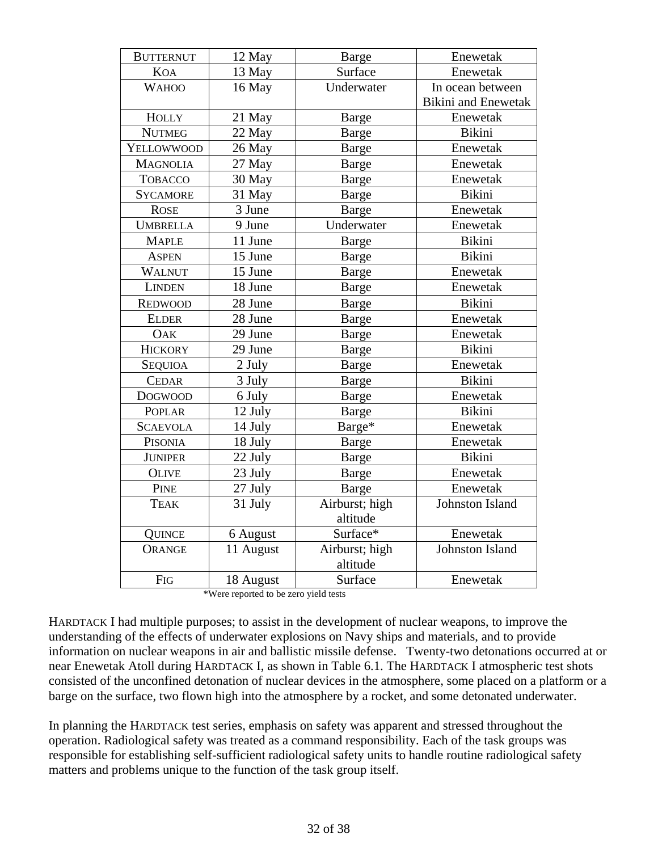| <b>BUTTERNUT</b> | 12 May    | <b>Barge</b>   | Enewetak                   |
|------------------|-----------|----------------|----------------------------|
| <b>KOA</b>       | 13 May    | Surface        | Enewetak                   |
| <b>WAHOO</b>     | 16 May    | Underwater     | In ocean between           |
|                  |           |                | <b>Bikini</b> and Enewetak |
| <b>HOLLY</b>     | 21 May    | <b>Barge</b>   | Enewetak                   |
| <b>NUTMEG</b>    | 22 May    | Barge          | <b>Bikini</b>              |
| YELLOWWOOD       | 26 May    | <b>Barge</b>   | Enewetak                   |
| <b>MAGNOLIA</b>  | 27 May    | Barge          | Enewetak                   |
| <b>TOBACCO</b>   | 30 May    | Barge          | Enewetak                   |
| <b>SYCAMORE</b>  | 31 May    | <b>Barge</b>   | <b>Bikini</b>              |
| <b>ROSE</b>      | 3 June    | <b>Barge</b>   | Enewetak                   |
| <b>UMBRELLA</b>  | 9 June    | Underwater     | Enewetak                   |
| <b>MAPLE</b>     | 11 June   | <b>Barge</b>   | <b>Bikini</b>              |
| <b>ASPEN</b>     | 15 June   | Barge          | <b>Bikini</b>              |
| <b>WALNUT</b>    | 15 June   | <b>Barge</b>   | Enewetak                   |
| <b>LINDEN</b>    | 18 June   | <b>Barge</b>   | Enewetak                   |
| <b>REDWOOD</b>   | 28 June   | Barge          | <b>Bikini</b>              |
| <b>ELDER</b>     | 28 June   | <b>Barge</b>   | Enewetak                   |
| <b>OAK</b>       | 29 June   | <b>Barge</b>   | Enewetak                   |
| <b>HICKORY</b>   | 29 June   | <b>Barge</b>   | <b>Bikini</b>              |
| <b>SEQUIOA</b>   | 2 July    | Barge          | Enewetak                   |
| <b>CEDAR</b>     | 3 July    | <b>Barge</b>   | Bikini                     |
| <b>DOGWOOD</b>   | 6 July    | Barge          | Enewetak                   |
| POPLAR           | 12 July   | <b>Barge</b>   | <b>Bikini</b>              |
| <b>SCAEVOLA</b>  | 14 July   | Barge*         | Enewetak                   |
| PISONIA          | 18 July   | Barge          | Enewetak                   |
| <b>JUNIPER</b>   | 22 July   | Barge          | <b>Bikini</b>              |
| <b>OLIVE</b>     | 23 July   | <b>Barge</b>   | Enewetak                   |
| <b>PINE</b>      | 27 July   | Barge          | Enewetak                   |
| <b>TEAK</b>      | 31 July   | Airburst; high | <b>Johnston Island</b>     |
|                  |           | altitude       |                            |
| QUINCE           | 6 August  | Surface*       | Enewetak                   |
| <b>ORANGE</b>    | 11 August | Airburst; high | <b>Johnston Island</b>     |
|                  |           | altitude       |                            |
| <b>FIG</b>       | 18 August | Surface        | Enewetak                   |

\*Were reported to be zero yield tests

HARDTACK I had multiple purposes; to assist in the development of nuclear weapons, to improve the understanding of the effects of underwater explosions on Navy ships and materials, and to provide information on nuclear weapons in air and ballistic missile defense. Twenty-two detonations occurred at or near Enewetak Atoll during HARDTACK I, as shown in Table 6.1. The HARDTACK I atmospheric test shots consisted of the unconfined detonation of nuclear devices in the atmosphere, some placed on a platform or a barge on the surface, two flown high into the atmosphere by a rocket, and some detonated underwater.

In planning the HARDTACK test series, emphasis on safety was apparent and stressed throughout the operation. Radiological safety was treated as a command responsibility. Each of the task groups was responsible for establishing self-sufficient radiological safety units to handle routine radiological safety matters and problems unique to the function of the task group itself.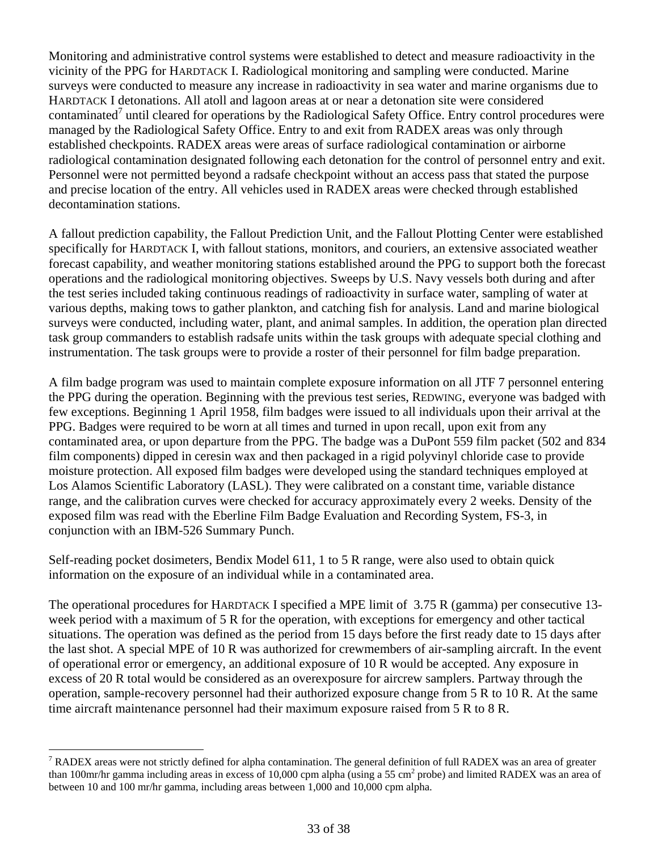Monitoring and administrative control systems were established to detect and measure radioactivity in the vicinity of the PPG for HARDTACK I. Radiological monitoring and sampling were conducted. Marine surveys were conducted to measure any increase in radioactivity in sea water and marine organisms due to HARDTACK I detonations. All atoll and lagoon areas at or near a detonation site were considered contaminated<sup>7</sup> until cleared for operations by the Radiological Safety Office. Entry control procedures were managed by the Radiological Safety Office. Entry to and exit from RADEX areas was only through established checkpoints. RADEX areas were areas of surface radiological contamination or airborne radiological contamination designated following each detonation for the control of personnel entry and exit. Personnel were not permitted beyond a radsafe checkpoint without an access pass that stated the purpose and precise location of the entry. All vehicles used in RADEX areas were checked through established decontamination stations.

A fallout prediction capability, the Fallout Prediction Unit, and the Fallout Plotting Center were established specifically for HARDTACK I, with fallout stations, monitors, and couriers, an extensive associated weather forecast capability, and weather monitoring stations established around the PPG to support both the forecast operations and the radiological monitoring objectives. Sweeps by U.S. Navy vessels both during and after the test series included taking continuous readings of radioactivity in surface water, sampling of water at various depths, making tows to gather plankton, and catching fish for analysis. Land and marine biological surveys were conducted, including water, plant, and animal samples. In addition, the operation plan directed task group commanders to establish radsafe units within the task groups with adequate special clothing and instrumentation. The task groups were to provide a roster of their personnel for film badge preparation.

A film badge program was used to maintain complete exposure information on all JTF 7 personnel entering the PPG during the operation. Beginning with the previous test series, REDWING, everyone was badged with few exceptions. Beginning 1 April 1958, film badges were issued to all individuals upon their arrival at the PPG. Badges were required to be worn at all times and turned in upon recall, upon exit from any contaminated area, or upon departure from the PPG. The badge was a DuPont 559 film packet (502 and 834 film components) dipped in ceresin wax and then packaged in a rigid polyvinyl chloride case to provide moisture protection. All exposed film badges were developed using the standard techniques employed at Los Alamos Scientific Laboratory (LASL). They were calibrated on a constant time, variable distance range, and the calibration curves were checked for accuracy approximately every 2 weeks. Density of the exposed film was read with the Eberline Film Badge Evaluation and Recording System, FS-3, in conjunction with an IBM-526 Summary Punch.

Self-reading pocket dosimeters, Bendix Model 611, 1 to 5 R range, were also used to obtain quick information on the exposure of an individual while in a contaminated area.

The operational procedures for HARDTACK I specified a MPE limit of 3.75 R (gamma) per consecutive 13 week period with a maximum of 5 R for the operation, with exceptions for emergency and other tactical situations. The operation was defined as the period from 15 days before the first ready date to 15 days after the last shot. A special MPE of 10 R was authorized for crewmembers of air-sampling aircraft. In the event of operational error or emergency, an additional exposure of 10 R would be accepted. Any exposure in excess of 20 R total would be considered as an overexposure for aircrew samplers. Partway through the operation, sample-recovery personnel had their authorized exposure change from 5 R to 10 R. At the same time aircraft maintenance personnel had their maximum exposure raised from 5 R to 8 R.

1

 $7$  RADEX areas were not strictly defined for alpha contamination. The general definition of full RADEX was an area of greater than 100mr/hr gamma including areas in excess of 10,000 cpm alpha (using a 55 cm<sup>2</sup> probe) and limited RADEX was an area of between 10 and 100 mr/hr gamma, including areas between 1,000 and 10,000 cpm alpha.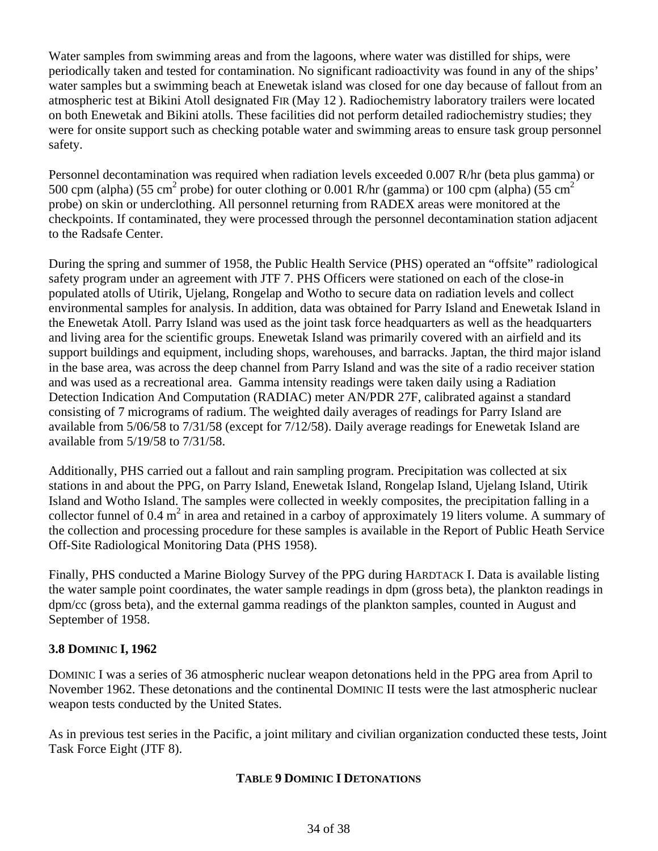Water samples from swimming areas and from the lagoons, where water was distilled for ships, were periodically taken and tested for contamination. No significant radioactivity was found in any of the ships' water samples but a swimming beach at Enewetak island was closed for one day because of fallout from an atmospheric test at Bikini Atoll designated FIR (May 12 ). Radiochemistry laboratory trailers were located on both Enewetak and Bikini atolls. These facilities did not perform detailed radiochemistry studies; they were for onsite support such as checking potable water and swimming areas to ensure task group personnel safety.

Personnel decontamination was required when radiation levels exceeded 0.007 R/hr (beta plus gamma) or 500 cpm (alpha) (55 cm<sup>2</sup> probe) for outer clothing or 0.001 R/hr (gamma) or 100 cpm (alpha) (55 cm<sup>2</sup> probe) on skin or underclothing. All personnel returning from RADEX areas were monitored at the checkpoints. If contaminated, they were processed through the personnel decontamination station adjacent to the Radsafe Center.

During the spring and summer of 1958, the Public Health Service (PHS) operated an "offsite" radiological safety program under an agreement with JTF 7. PHS Officers were stationed on each of the close-in populated atolls of Utirik, Ujelang, Rongelap and Wotho to secure data on radiation levels and collect environmental samples for analysis. In addition, data was obtained for Parry Island and Enewetak Island in the Enewetak Atoll. Parry Island was used as the joint task force headquarters as well as the headquarters and living area for the scientific groups. Enewetak Island was primarily covered with an airfield and its support buildings and equipment, including shops, warehouses, and barracks. Japtan, the third major island in the base area, was across the deep channel from Parry Island and was the site of a radio receiver station and was used as a recreational area. Gamma intensity readings were taken daily using a Radiation Detection Indication And Computation (RADIAC) meter AN/PDR 27F, calibrated against a standard consisting of 7 micrograms of radium. The weighted daily averages of readings for Parry Island are available from 5/06/58 to 7/31/58 (except for 7/12/58). Daily average readings for Enewetak Island are available from 5/19/58 to 7/31/58.

Additionally, PHS carried out a fallout and rain sampling program. Precipitation was collected at six stations in and about the PPG, on Parry Island, Enewetak Island, Rongelap Island, Ujelang Island, Utirik Island and Wotho Island. The samples were collected in weekly composites, the precipitation falling in a collector funnel of  $0.4 \text{ m}^2$  in area and retained in a carboy of approximately 19 liters volume. A summary of the collection and processing procedure for these samples is available in the Report of Public Heath Service Off-Site Radiological Monitoring Data (PHS 1958).

Finally, PHS conducted a Marine Biology Survey of the PPG during HARDTACK I. Data is available listing the water sample point coordinates, the water sample readings in dpm (gross beta), the plankton readings in dpm/cc (gross beta), and the external gamma readings of the plankton samples, counted in August and September of 1958.

# **3.8 DOMINIC I, 1962**

DOMINIC I was a series of 36 atmospheric nuclear weapon detonations held in the PPG area from April to November 1962. These detonations and the continental DOMINIC II tests were the last atmospheric nuclear weapon tests conducted by the United States.

As in previous test series in the Pacific, a joint military and civilian organization conducted these tests, Joint Task Force Eight (JTF 8).

# **TABLE 9 DOMINIC I DETONATIONS**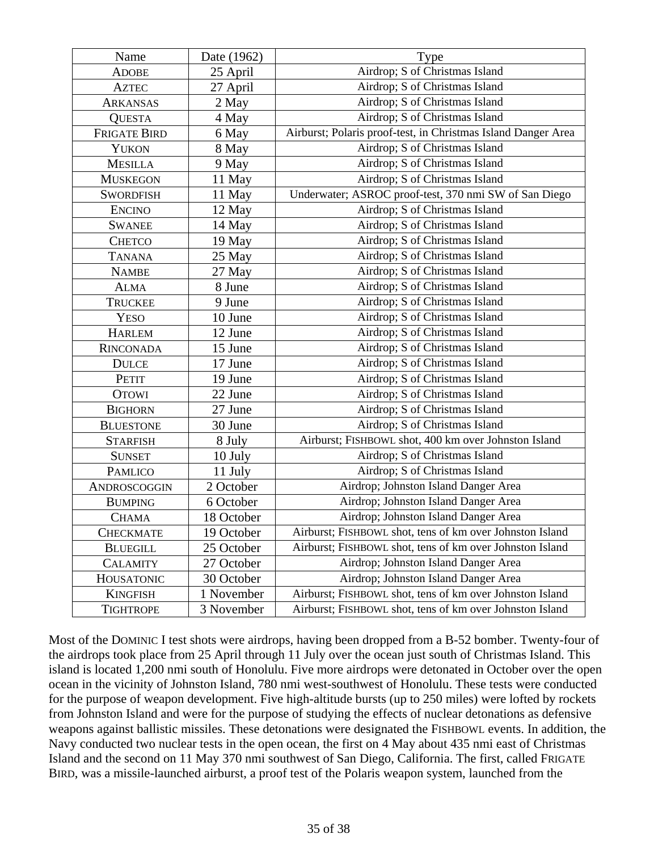| Name                | Date (1962) | Type                                                          |
|---------------------|-------------|---------------------------------------------------------------|
| <b>ADOBE</b>        | 25 April    | Airdrop; S of Christmas Island                                |
| <b>AZTEC</b>        | 27 April    | Airdrop; S of Christmas Island                                |
| ARKANSAS            | 2 May       | Airdrop; S of Christmas Island                                |
| <b>QUESTA</b>       | 4 May       | Airdrop; S of Christmas Island                                |
| <b>FRIGATE BIRD</b> | 6 May       | Airburst; Polaris proof-test, in Christmas Island Danger Area |
| <b>YUKON</b>        | 8 May       | Airdrop; S of Christmas Island                                |
| <b>MESILLA</b>      | 9 May       | Airdrop; S of Christmas Island                                |
| <b>MUSKEGON</b>     | 11 May      | Airdrop; S of Christmas Island                                |
| <b>SWORDFISH</b>    | 11 May      | Underwater; ASROC proof-test, 370 nmi SW of San Diego         |
| <b>ENCINO</b>       | 12 May      | Airdrop; S of Christmas Island                                |
| <b>SWANEE</b>       | 14 May      | Airdrop; S of Christmas Island                                |
| <b>CHETCO</b>       | 19 May      | Airdrop; S of Christmas Island                                |
| <b>TANANA</b>       | 25 May      | Airdrop; S of Christmas Island                                |
| <b>NAMBE</b>        | 27 May      | Airdrop; S of Christmas Island                                |
| <b>ALMA</b>         | 8 June      | Airdrop; S of Christmas Island                                |
| <b>TRUCKEE</b>      | 9 June      | Airdrop; S of Christmas Island                                |
| <b>YESO</b>         | 10 June     | Airdrop; S of Christmas Island                                |
| <b>HARLEM</b>       | 12 June     | Airdrop; S of Christmas Island                                |
| <b>RINCONADA</b>    | 15 June     | Airdrop; S of Christmas Island                                |
| <b>DULCE</b>        | 17 June     | Airdrop; S of Christmas Island                                |
| <b>PETIT</b>        | 19 June     | Airdrop; S of Christmas Island                                |
| <b>OTOWI</b>        | 22 June     | Airdrop; S of Christmas Island                                |
| <b>BIGHORN</b>      | 27 June     | Airdrop; S of Christmas Island                                |
| <b>BLUESTONE</b>    | 30 June     | Airdrop; S of Christmas Island                                |
| <b>STARFISH</b>     | 8 July      | Airburst; FISHBOWL shot, 400 km over Johnston Island          |
| <b>SUNSET</b>       | 10 July     | Airdrop; S of Christmas Island                                |
| <b>PAMLICO</b>      | 11 July     | Airdrop; S of Christmas Island                                |
| ANDROSCOGGIN        | 2 October   | Airdrop; Johnston Island Danger Area                          |
| <b>BUMPING</b>      | 6 October   | Airdrop; Johnston Island Danger Area                          |
| <b>CHAMA</b>        | 18 October  | Airdrop; Johnston Island Danger Area                          |
| <b>CHECKMATE</b>    | 19 October  | Airburst; FISHBOWL shot, tens of km over Johnston Island      |
| <b>BLUEGILL</b>     | 25 October  | Airburst; FISHBOWL shot, tens of km over Johnston Island      |
| <b>CALAMITY</b>     | 27 October  | Airdrop; Johnston Island Danger Area                          |
| <b>HOUSATONIC</b>   | 30 October  | Airdrop; Johnston Island Danger Area                          |
| <b>KINGFISH</b>     | 1 November  | Airburst; FISHBOWL shot, tens of km over Johnston Island      |
| <b>TIGHTROPE</b>    | 3 November  | Airburst; FISHBOWL shot, tens of km over Johnston Island      |

Most of the DOMINIC I test shots were airdrops, having been dropped from a B-52 bomber. Twenty-four of the airdrops took place from 25 April through 11 July over the ocean just south of Christmas Island. This island is located 1,200 nmi south of Honolulu. Five more airdrops were detonated in October over the open ocean in the vicinity of Johnston Island, 780 nmi west-southwest of Honolulu. These tests were conducted for the purpose of weapon development. Five high-altitude bursts (up to 250 miles) were lofted by rockets from Johnston Island and were for the purpose of studying the effects of nuclear detonations as defensive weapons against ballistic missiles. These detonations were designated the FISHBOWL events. In addition, the Navy conducted two nuclear tests in the open ocean, the first on 4 May about 435 nmi east of Christmas Island and the second on 11 May 370 nmi southwest of San Diego, California. The first, called FRIGATE BIRD, was a missile-launched airburst, a proof test of the Polaris weapon system, launched from the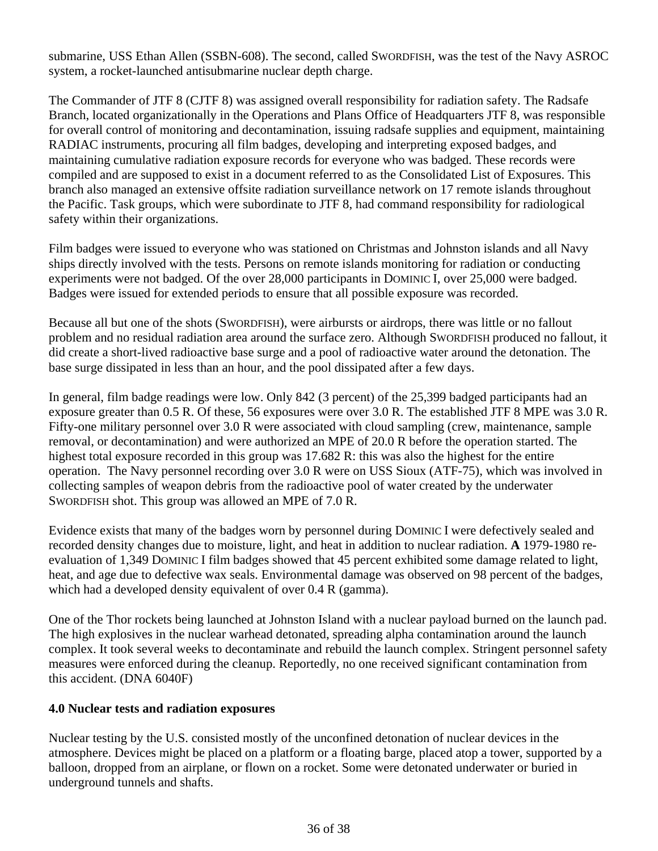submarine, USS Ethan Allen (SSBN-608). The second, called SWORDFISH, was the test of the Navy ASROC system, a rocket-launched antisubmarine nuclear depth charge.

safety within their organizations. The Commander of JTF 8 (CJTF 8) was assigned overall responsibility for radiation safety. The Radsafe Branch, located organizationally in the Operations and Plans Office of Headquarters JTF 8, was responsible for overall control of monitoring and decontamination, issuing radsafe supplies and equipment, maintaining RADIAC instruments, procuring all film badges, developing and interpreting exposed badges, and maintaining cumulative radiation exposure records for everyone who was badged. These records were compiled and are supposed to exist in a document referred to as the Consolidated List of Exposures. This branch also managed an extensive offsite radiation surveillance network on 17 remote islands throughout the Pacific. Task groups, which were subordinate to JTF 8, had command responsibility for radiological

Film badges were issued to everyone who was stationed on Christmas and Johnston islands and all Navy ships directly involved with the tests. Persons on remote islands monitoring for radiation or conducting experiments were not badged. Of the over 28,000 participants in DOMINIC I, over 25,000 were badged. Badges were issued for extended periods to ensure that all possible exposure was recorded.

Because all but one of the shots (SWORDFISH), were airbursts or airdrops, there was little or no fallout problem and no residual radiation area around the surface zero. Although SWORDFISH produced no fallout, it did create a short-lived radioactive base surge and a pool of radioactive water around the detonation. The base surge dissipated in less than an hour, and the pool dissipated after a few days.

In general, film badge readings were low. Only 842 (3 percent) of the 25,399 badged participants had an exposure greater than 0.5 R. Of these, 56 exposures were over 3.0 R. The established JTF 8 MPE was 3.0 R. Fifty-one military personnel over 3.0 R were associated with cloud sampling (crew, maintenance, sample removal, or decontamination) and were authorized an MPE of 20.0 R before the operation started. The highest total exposure recorded in this group was 17.682 R: this was also the highest for the entire operation. The Navy personnel recording over 3.0 R were on USS Sioux (ATF-75), which was involved in collecting samples of weapon debris from the radioactive pool of water created by the underwater SWORDFISH shot. This group was allowed an MPE of 7.0 R.

Evidence exists that many of the badges worn by personnel during DOMINIC I were defectively sealed and recorded density changes due to moisture, light, and heat in addition to nuclear radiation. **A** 1979-1980 reevaluation of 1,349 DOMINIC I film badges showed that 45 percent exhibited some damage related to light, heat, and age due to defective wax seals. Environmental damage was observed on 98 percent of the badges, which had a developed density equivalent of over 0.4 R (gamma).

One of the Thor rockets being launched at Johnston Island with a nuclear payload burned on the launch pad. The high explosives in the nuclear warhead detonated, spreading alpha contamination around the launch complex. It took several weeks to decontaminate and rebuild the launch complex. Stringent personnel safety measures were enforced during the cleanup. Reportedly, no one received significant contamination from this accident. (DNA 6040F)

# **4.0 Nuclear tests and radiation exposures**

Nuclear testing by the U.S. consisted mostly of the unconfined detonation of nuclear devices in the atmosphere. Devices might be placed on a platform or a floating barge, placed atop a tower, supported by a balloon, dropped from an airplane, or flown on a rocket. Some were detonated underwater or buried in underground tunnels and shafts.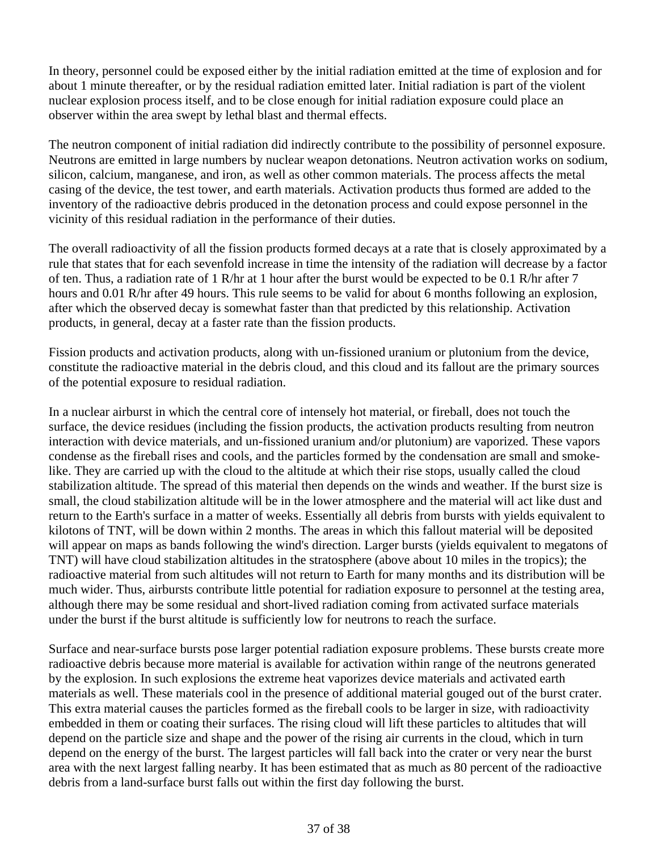In theory, personnel could be exposed either by the initial radiation emitted at the time of explosion and for about 1 minute thereafter, or by the residual radiation emitted later. Initial radiation is part of the violent nuclear explosion process itself, and to be close enough for initial radiation exposure could place an observer within the area swept by lethal blast and thermal effects.

The neutron component of initial radiation did indirectly contribute to the possibility of personnel exposure. Neutrons are emitted in large numbers by nuclear weapon detonations. Neutron activation works on sodium, silicon, calcium, manganese, and iron, as well as other common materials. The process affects the metal casing of the device, the test tower, and earth materials. Activation products thus formed are added to the inventory of the radioactive debris produced in the detonation process and could expose personnel in the vicinity of this residual radiation in the performance of their duties.

The overall radioactivity of all the fission products formed decays at a rate that is closely approximated by a rule that states that for each sevenfold increase in time the intensity of the radiation will decrease by a factor of ten. Thus, a radiation rate of 1 R/hr at 1 hour after the burst would be expected to be 0.1 R/hr after 7 hours and 0.01 R/hr after 49 hours. This rule seems to be valid for about 6 months following an explosion, after which the observed decay is somewhat faster than that predicted by this relationship. Activation products, in general, decay at a faster rate than the fission products.

Fission products and activation products, along with un-fissioned uranium or plutonium from the device, constitute the radioactive material in the debris cloud, and this cloud and its fallout are the primary sources of the potential exposure to residual radiation.

In a nuclear airburst in which the central core of intensely hot material, or fireball, does not touch the surface, the device residues (including the fission products, the activation products resulting from neutron interaction with device materials, and un-fissioned uranium and/or plutonium) are vaporized. These vapors condense as the fireball rises and cools, and the particles formed by the condensation are small and smokelike. They are carried up with the cloud to the altitude at which their rise stops, usually called the cloud stabilization altitude. The spread of this material then depends on the winds and weather. If the burst size is small, the cloud stabilization altitude will be in the lower atmosphere and the material will act like dust and return to the Earth's surface in a matter of weeks. Essentially all debris from bursts with yields equivalent to kilotons of TNT, will be down within 2 months. The areas in which this fallout material will be deposited will appear on maps as bands following the wind's direction. Larger bursts (yields equivalent to megatons of TNT) will have cloud stabilization altitudes in the stratosphere (above about 10 miles in the tropics); the radioactive material from such altitudes will not return to Earth for many months and its distribution will be much wider. Thus, airbursts contribute little potential for radiation exposure to personnel at the testing area, although there may be some residual and short-lived radiation coming from activated surface materials under the burst if the burst altitude is sufficiently low for neutrons to reach the surface.

Surface and near-surface bursts pose larger potential radiation exposure problems. These bursts create more radioactive debris because more material is available for activation within range of the neutrons generated by the explosion. In such explosions the extreme heat vaporizes device materials and activated earth materials as well. These materials cool in the presence of additional material gouged out of the burst crater. This extra material causes the particles formed as the fireball cools to be larger in size, with radioactivity embedded in them or coating their surfaces. The rising cloud will lift these particles to altitudes that will depend on the particle size and shape and the power of the rising air currents in the cloud, which in turn depend on the energy of the burst. The largest particles will fall back into the crater or very near the burst area with the next largest falling nearby. It has been estimated that as much as 80 percent of the radioactive debris from a land-surface burst falls out within the first day following the burst.